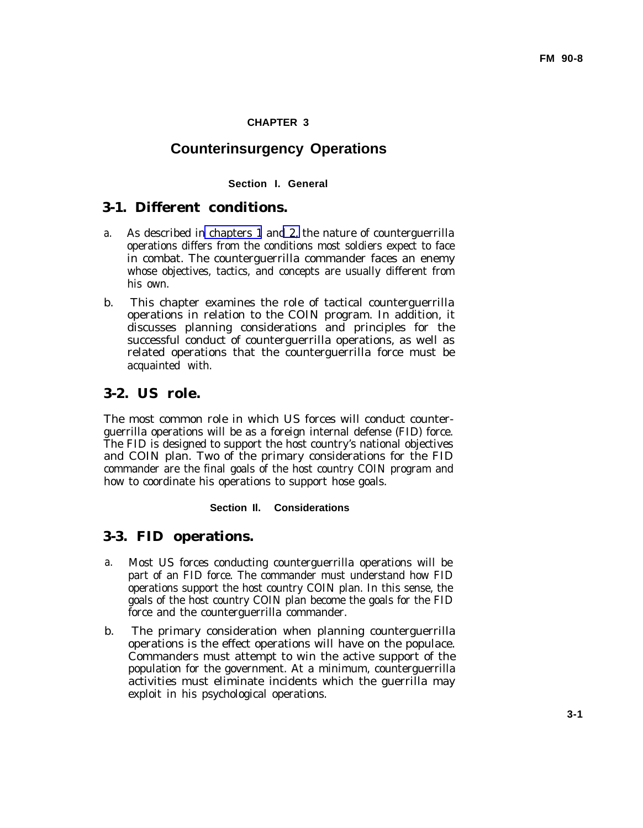#### **CHAPTER 3**

# <span id="page-0-0"></span>**Counterinsurgency Operations**

#### **Section I. General**

## **3-1. Different conditions.**

- a. As described in chapters 1 and 2, the nature of counterguerrilla operations differs from the conditions most soldiers expect to face in combat. The counterguerrilla commander faces an enemy whose objectives, tactics, and concepts are usually different from his own.
- b. This chapter examines the role of tactical counterguerrilla operations in relation to the COIN program. In addition, it discusses planning considerations and principles for the successful conduct of counterguerrilla operations, as well as related operations that the counterguerrilla force must be acquainted with.

## **3-2. US role.**

The most common role in which US forces will conduct counterguerrilla operations will be as a foreign internal defense (FID) force. The FID is designed to support the host country's national objectives and COIN plan. Two of the primary considerations for the FID commander are the final goals of the host country COIN program and how to coordinate his operations to support hose goals.

#### **Section Il. Considerations**

#### **3-3. FID operations.**

- a. Most US forces conducting counterguerrilla operations will be part of an FID force. The commander must understand how FID operations support the host country COIN plan. In this sense, the goals of the host country COIN plan become the goals for the FID force and the counterguerrilla commander.
- b. The primary consideration when planning counterguerrilla operations is the effect operations will have on the populace. Commanders must attempt to win the active support of the population for the government. At a minimum, counterguerrilla activities must eliminate incidents which the guerrilla may exploit in his psychological operations.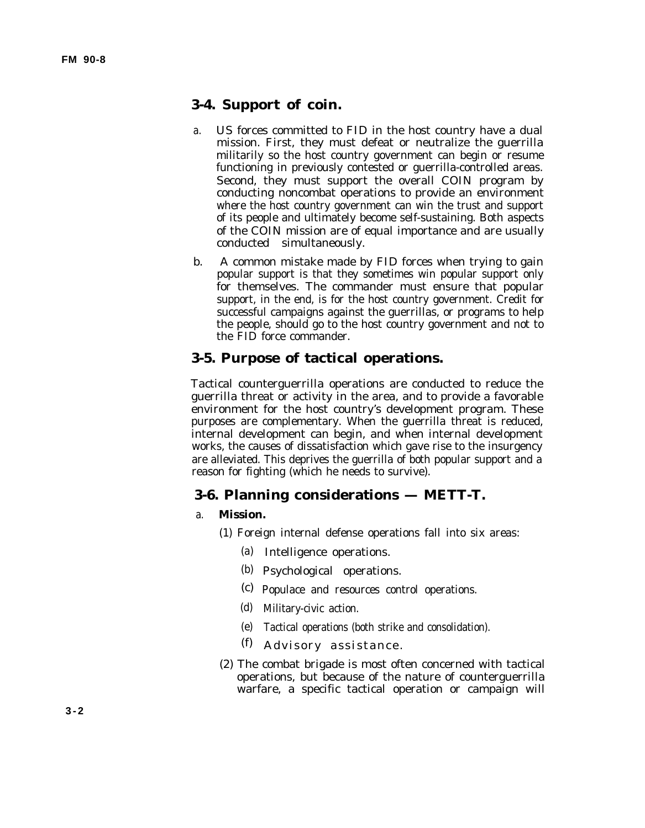### **3-4. Support of coin.**

- a. US forces committed to FID in the host country have a dual mission. First, they must defeat or neutralize the guerrilla militarily so the host country government can begin or resume functioning in previously contested or guerrilla-controlled areas. Second, they must support the overall COIN program by conducting noncombat operations to provide an environment where the host country government can win the trust and support of its people and ultimately become self-sustaining. Both aspects of the COIN mission are of equal importance and are usually conducted simultaneously.
- b. A common mistake made by FID forces when trying to gain popular support is that they sometimes win popular support only for themselves. The commander must ensure that popular support, in the end, is for the host country government. Credit for successful campaigns against the guerrillas, or programs to help the people, should go to the host country government and not to the FID force commander.

### **3-5. Purpose of tactical operations.**

Tactical counterguerrilla operations are conducted to reduce the guerrilla threat or activity in the area, and to provide a favorable environment for the host country's development program. These purposes are complementary. When the guerrilla threat is reduced, internal development can begin, and when internal development works, the causes of dissatisfaction which gave rise to the insurgency are alleviated. This deprives the guerrilla of both popular support and a reason for fighting (which he needs to survive).

#### **3-6. Planning considerations — METT-T.**

#### a. **Mission.**

- (1) Foreign internal defense operations fall into six areas:
	- (a) Intelligence operations.
	- (b) Psychological operations.
	- (c) Populace and resources control operations.
	- (d) Military-civic action.
	- (e) Tactical operations (both strike and consolidation).
	- (f) Advisory assistance.
- (2) The combat brigade is most often concerned with tactical operations, but because of the nature of counterguerrilla warfare, a specific tactical operation or campaign will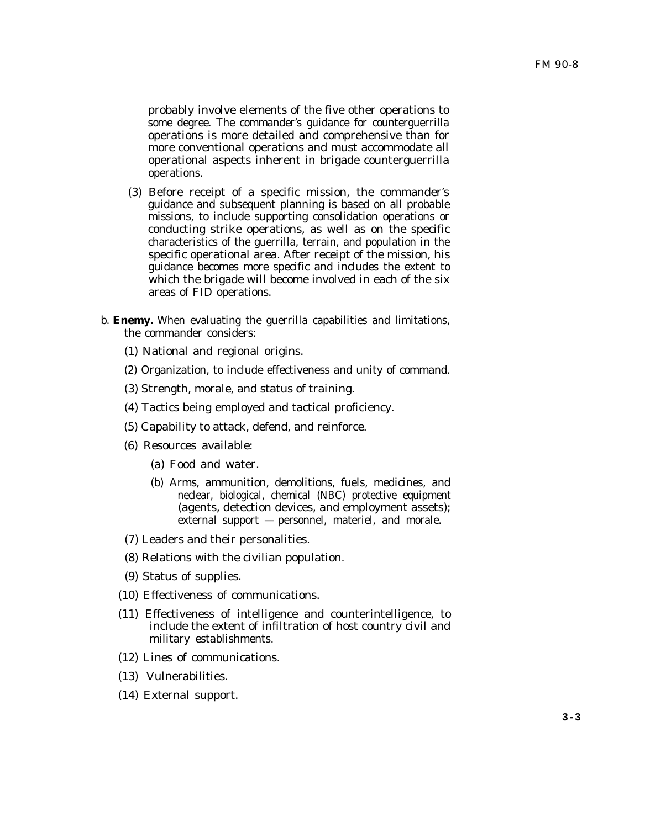probably involve elements of the five other operations to some degree. The commander's guidance for counterguerrilla operations is more detailed and comprehensive than for more conventional operations and must accommodate all operational aspects inherent in brigade counterguerrilla operations.

- (3) Before receipt of a specific mission, the commander's guidance and subsequent planning is based on all probable missions, to include supporting consolidation operations or conducting strike operations, as well as on the specific characteristics of the guerrilla, terrain, and population in the specific operational area. After receipt of the mission, his guidance becomes more specific and includes the extent to which the brigade will become involved in each of the six areas of FID operations.
- b. **Enemy.** When evaluating the guerrilla capabilities and limitations, the commander considers:
	- (1) National and regional origins.
	- (2) Organization, to include effectiveness and unity of command.
	- (3) Strength, morale, and status of training.
	- (4) Tactics being employed and tactical proficiency.
	- (5) Capability to attack, defend, and reinforce.
	- (6) Resources available:
		- (a) Food and water.
		- (b) Arms, ammunition, demolitions, fuels, medicines, and neclear, biological, chemical (NBC) protective equipment (agents, detection devices, and employment assets); external support — personnel, materiel, and morale.
	- (7) Leaders and their personalities.
	- (8) Relations with the civilian population.
	- (9) Status of supplies.
	- (10) Effectiveness of communications.
	- (11) Effectiveness of intelligence and counterintelligence, to include the extent of infiltration of host country civil and military establishments.
	- (12) Lines of communications.
	- (13) Vulnerabilities.
	- (14) External support.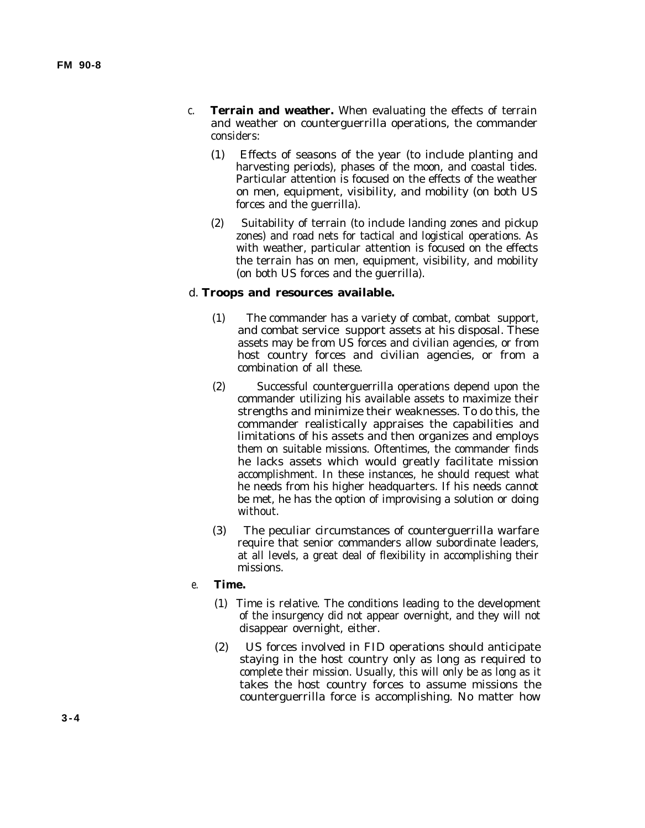- c. **Terrain and weather.** When evaluating the effects of terrain and weather on counterguerrilla operations, the commander considers:
	- (1) Effects of seasons of the year (to include planting and harvesting periods), phases of the moon, and coastal tides. Particular attention is focused on the effects of the weather on men, equipment, visibility, and mobility (on both US forces and the guerrilla).
	- (2) Suitability of terrain (to include landing zones and pickup zones) and road nets for tactical and logistical operations. As with weather, particular attention is focused on the effects the terrain has on men, equipment, visibility, and mobility (on both US forces and the guerrilla).

#### d. **Troops and resources available.**

- (1) The commander has a variety of combat, combat support, and combat service support assets at his disposal. These assets may be from US forces and civilian agencies, or from host country forces and civilian agencies, or from a combination of all these.
- (2) Successful counterguerrilla operations depend upon the commander utilizing his available assets to maximize their strengths and minimize their weaknesses. To do this, the commander realistically appraises the capabilities and limitations of his assets and then organizes and employs them on suitable missions. Oftentimes, the commander finds he lacks assets which would greatly facilitate mission accomplishment. In these instances, he should request what he needs from his higher headquarters. If his needs cannot be met, he has the option of improvising a solution or doing without.
- (3) The peculiar circumstances of counterguerrilla warfare require that senior commanders allow subordinate leaders, at all levels, a great deal of flexibility in accomplishing their missions.

#### e. **Time.**

- (1) Time is relative. The conditions leading to the development of the insurgency did not appear overnight, and they will not disappear overnight, either.
- (2) US forces involved in FID operations should anticipate staying in the host country only as long as required to complete their mission. Usually, this will only be as long as it takes the host country forces to assume missions the counterguerrilla force is accomplishing. No matter how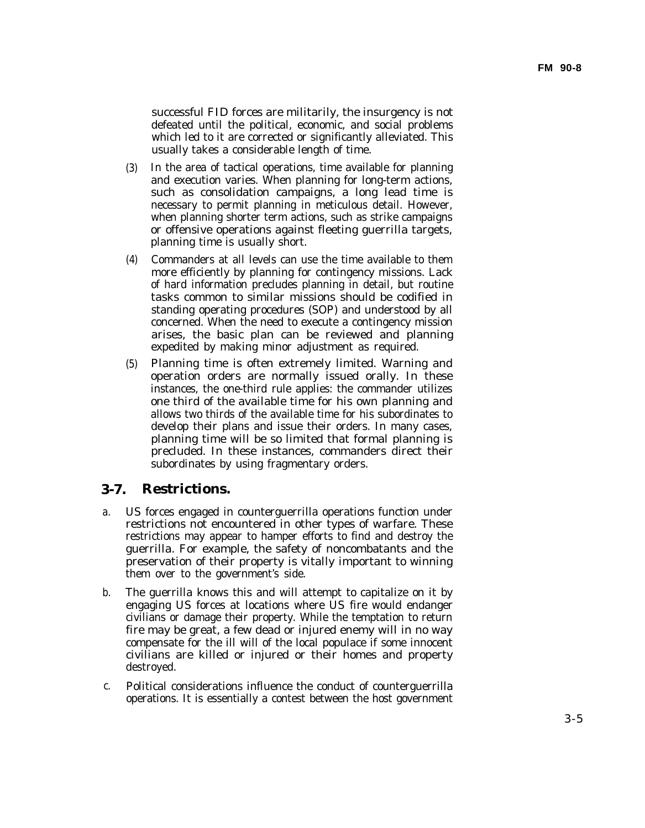successful FID forces are militarily, the insurgency is not defeated until the political, economic, and social problems which led to it are corrected or significantly alleviated. This usually takes a considerable length of time.

- (3) In the area of tactical operations, time available for planning and execution varies. When planning for long-term actions, such as consolidation campaigns, a long lead time is necessary to permit planning in meticulous detail. However, when planning shorter term actions, such as strike campaigns or offensive operations against fleeting guerrilla targets, planning time is usually short.
- (4) Commanders at all levels can use the time available to them more efficiently by planning for contingency missions. Lack of hard information precludes planning in detail, but routine tasks common to similar missions should be codified in standing operating procedures (SOP) and understood by all concerned. When the need to execute a contingency mission arises, the basic plan can be reviewed and planning expedited by making minor adjustment as required.
- (5) Planning time is often extremely limited. Warning and operation orders are normally issued orally. In these instances, the one-third rule applies: the commander utilizes one third of the available time for his own planning and allows two thirds of the available time for his subordinates to develop their plans and issue their orders. In many cases, planning time will be so limited that formal planning is precluded. In these instances, commanders direct their subordinates by using fragmentary orders.

#### **3-7. Restrictions.**

- a. US forces engaged in counterguerrilla operations function under restrictions not encountered in other types of warfare. These restrictions may appear to hamper efforts to find and destroy the guerrilla. For example, the safety of noncombatants and the preservation of their property is vitally important to winning them over to the government's side.
- b. The guerrilla knows this and will attempt to capitalize on it by engaging US forces at locations where US fire would endanger civilians or damage their property. While the temptation to return fire may be great, a few dead or injured enemy will in no way compensate for the ill will of the local populace if some innocent civilians are killed or injured or their homes and property destroyed.
- c. Political considerations influence the conduct of counterguerrilla operations. It is essentially a contest between the host government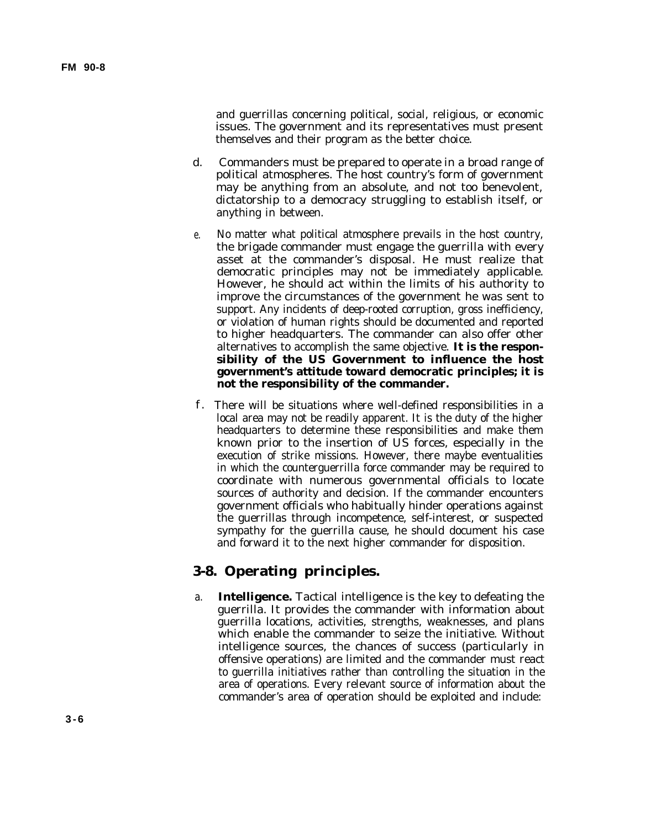and guerrillas concerning political, social, religious, or economic issues. The government and its representatives must present themselves and their program as the better choice.

- d. Commanders must be prepared to operate in a broad range of political atmospheres. The host country's form of government may be anything from an absolute, and not too benevolent, dictatorship to a democracy struggling to establish itself, or anything in between.
- e. No matter what political atmosphere prevails in the host country, the brigade commander must engage the guerrilla with every asset at the commander's disposal. He must realize that democratic principles may not be immediately applicable. However, he should act within the limits of his authority to improve the circumstances of the government he was sent to support. Any incidents of deep-rooted corruption, gross inefficiency, or violation of human rights should be documented and reported to higher headquarters. The commander can also offer other alternatives to accomplish the same objective. **It is the responsibility of the US Government to influence the host government's attitude toward democratic principles; it is not the responsibility of the commander.**
- f. There will be situations where well-defined responsibilities in a local area may not be readily apparent. It is the duty of the higher headquarters to determine these responsibilities and make them known prior to the insertion of US forces, especially in the execution of strike missions. However, there maybe eventualities in which the counterguerrilla force commander may be required to coordinate with numerous governmental officials to locate sources of authority and decision. If the commander encounters government officials who habitually hinder operations against the guerrillas through incompetence, self-interest, or suspected sympathy for the guerrilla cause, he should document his case and forward it to the next higher commander for disposition.

# **3-8. Operating principles.**

a. **Intelligence.** Tactical intelligence is the key to defeating the guerrilla. It provides the commander with information about guerrilla locations, activities, strengths, weaknesses, and plans which enable the commander to seize the initiative. Without intelligence sources, the chances of success (particularly in offensive operations) are limited and the commander must react to guerrilla initiatives rather than controlling the situation in the area of operations. Every relevant source of information about the commander's area of operation should be exploited and include: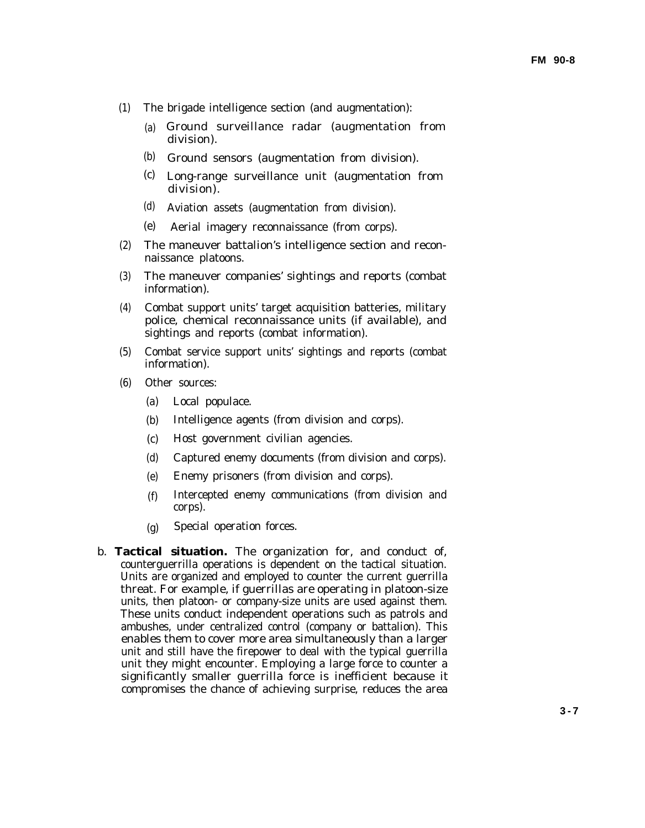- (1) The brigade intelligence section (and augmentation):
	- (a) Ground surveillance radar (augmentation from division).
	- (b) Ground sensors (augmentation from division).
	- (c) Long-range surveillance unit (augmentation from division).
	- (d) Aviation assets (augmentation from division).
	- (e) Aerial imagery reconnaissance (from corps).
- (2) The maneuver battalion's intelligence section and reconnaissance platoons.
- (3) The maneuver companies' sightings and reports (combat information).
- (4) Combat support units' target acquisition batteries, military police, chemical reconnaissance units (if available), and sightings and reports (combat information).
- (5) Combat service support units' sightings and reports (combat information).
- (6) Other sources:
	- (a) Local populace.
	- (b) Intelligence agents (from division and corps).
	- (c) Host government civilian agencies.
	- (d) Captured enemy documents (from division and corps).
	- (e) Enemy prisoners (from division and corps).
	- (f) Intercepted enemy communications (from division and corps).
	- (g) Special operation forces.
- b. **Tactical situation.** The organization for, and conduct of, counterguerrilla operations is dependent on the tactical situation. Units are organized and employed to counter the current guerrilla threat. For example, if guerrillas are operating in platoon-size units, then platoon- or company-size units are used against them. These units conduct independent operations such as patrols and ambushes, under centralized control (company or battalion). This enables them to cover more area simultaneously than a larger unit and still have the firepower to deal with the typical guerrilla unit they might encounter. Employing a large force to counter a significantly smaller guerrilla force is inefficient because it compromises the chance of achieving surprise, reduces the area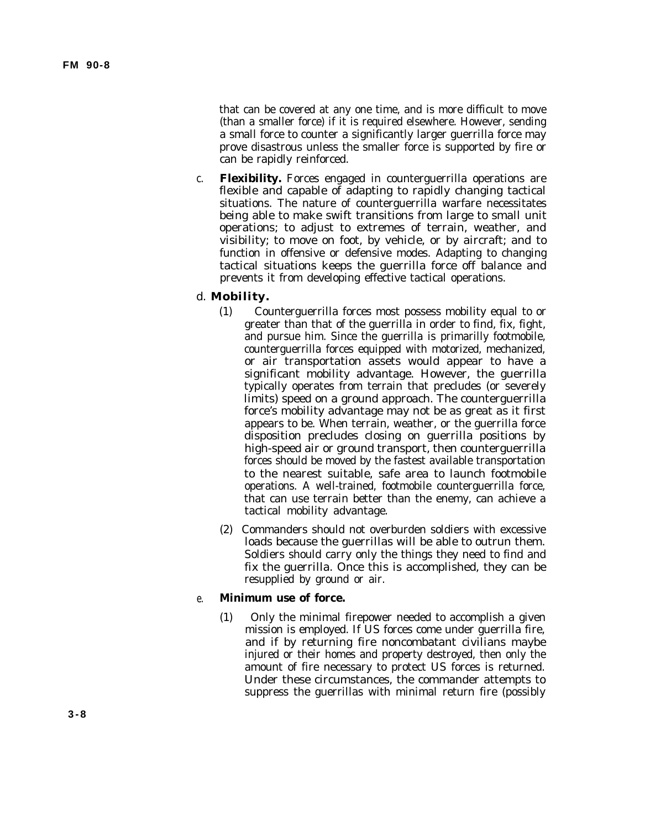that can be covered at any one time, and is more difficult to move (than a smaller force) if it is required elsewhere. However, sending a small force to counter a significantly larger guerrilla force may prove disastrous unless the smaller force is supported by fire or can be rapidly reinforced.

c. **Flexibility.** Forces engaged in counterguerrilla operations are flexible and capable of adapting to rapidly changing tactical situations. The nature of counterguerrilla warfare necessitates being able to make swift transitions from large to small unit operations; to adjust to extremes of terrain, weather, and visibility; to move on foot, by vehicle, or by aircraft; and to function in offensive or defensive modes. Adapting to changing tactical situations keeps the guerrilla force off balance and prevents it from developing effective tactical operations.

#### d. **Mobility.**

- (1) Counterguerrilla forces most possess mobility equal to or greater than that of the guerrilla in order to find, fix, fight, and pursue him. Since the guerrilla is primarilly footmobile, counterguerrilla forces equipped with motorized, mechanized, or air transportation assets would appear to have a significant mobility advantage. However, the guerrilla typically operates from terrain that precludes (or severely limits) speed on a ground approach. The counterguerrilla force's mobility advantage may not be as great as it first appears to be. When terrain, weather, or the guerrilla force disposition precludes closing on guerrilla positions by high-speed air or ground transport, then counterguerrilla forces should be moved by the fastest available transportation to the nearest suitable, safe area to launch footmobile operations. A well-trained, footmobile counterguerrilla force, that can use terrain better than the enemy, can achieve a tactical mobility advantage.
- (2) Commanders should not overburden soldiers with excessive loads because the guerrillas will be able to outrun them. Soldiers should carry only the things they need to find and fix the guerrilla. Once this is accomplished, they can be resupplied by ground or air.

#### e. **Minimum use of force.**

(1) Only the minimal firepower needed to accomplish a given mission is employed. If US forces come under guerrilla fire, and if by returning fire noncombatant civilians maybe injured or their homes and property destroyed, then only the amount of fire necessary to protect US forces is returned. Under these circumstances, the commander attempts to suppress the guerrillas with minimal return fire (possibly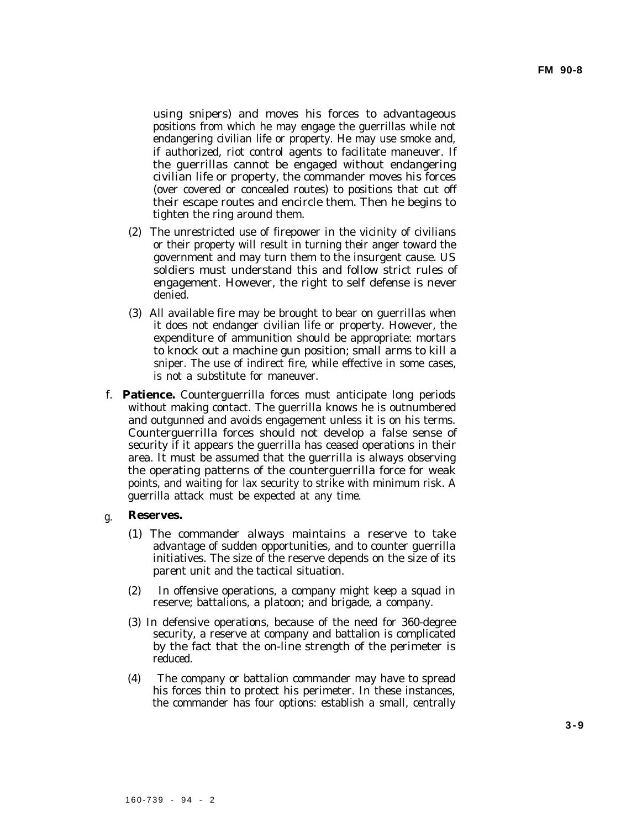using snipers) and moves his forces to advantageous positions from which he may engage the guerrillas while not endangering civilian life or property. He may use smoke and, if authorized, riot control agents to facilitate maneuver. If the guerrillas cannot be engaged without endangering civilian life or property, the commander moves his forces (over covered or concealed routes) to positions that cut off their escape routes and encircle them. Then he begins to tighten the ring around them.

- (2) The unrestricted use of firepower in the vicinity of civilians or their property will result in turning their anger toward the government and may turn them to the insurgent cause. US soldiers must understand this and follow strict rules of engagement. However, the right to self defense is never denied.
- (3) All available fire may be brought to bear on guerrillas when it does not endanger civilian life or property. However, the expenditure of ammunition should be appropriate: mortars to knock out a machine gun position; small arms to kill a sniper. The use of indirect fire, while effective in some cases, is not a substitute for maneuver.
- f. **Patience.** Counterguerrilla forces must anticipate long periods without making contact. The guerrilla knows he is outnumbered and outgunned and avoids engagement unless it is on his terms. Counterguerrilla forces should not develop a false sense of security if it appears the guerrilla has ceased operations in their area. It must be assumed that the guerrilla is always observing the operating patterns of the counterguerrilla force for weak points, and waiting for lax security to strike with minimum risk. A guerrilla attack must be expected at any time.

#### g. **Reserves.**

- (1) The commander always maintains a reserve to take advantage of sudden opportunities, and to counter guerrilla initiatives. The size of the reserve depends on the size of its parent unit and the tactical situation.
- (2) In offensive operations, a company might keep a squad in reserve; battalions, a platoon; and brigade, a company.
- (3) In defensive operations, because of the need for 360-degree security, a reserve at company and battalion is complicated by the fact that the on-line strength of the perimeter is reduced.
- (4) The company or battalion commander may have to spread his forces thin to protect his perimeter. In these instances, the commander has four options: establish a small, centrally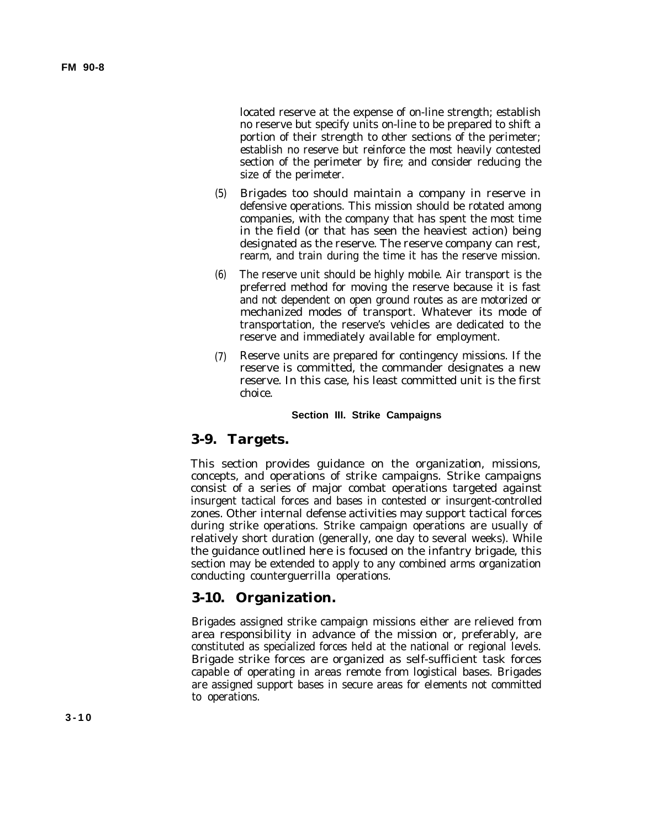located reserve at the expense of on-line strength; establish no reserve but specify units on-line to be prepared to shift a portion of their strength to other sections of the perimeter; establish no reserve but reinforce the most heavily contested section of the perimeter by fire; and consider reducing the size of the perimeter.

- (5) Brigades too should maintain a company in reserve in defensive operations. This mission should be rotated among companies, with the company that has spent the most time in the field (or that has seen the heaviest action) being designated as the reserve. The reserve company can rest, rearm, and train during the time it has the reserve mission.
- (6) The reserve unit should be highly mobile. Air transport is the preferred method for moving the reserve because it is fast and not dependent on open ground routes as are motorized or mechanized modes of transport. Whatever its mode of transportation, the reserve's vehicles are dedicated to the reserve and immediately available for employment.
- (7) Reserve units are prepared for contingency missions. If the reserve is committed, the commander designates a new reserve. In this case, his least committed unit is the first choice.

#### **Section III. Strike Campaigns**

# **3-9. Targets.**

This section provides guidance on the organization, missions, concepts, and operations of strike campaigns. Strike campaigns consist of a series of major combat operations targeted against insurgent tactical forces and bases in contested or insurgent-controlled zones. Other internal defense activities may support tactical forces during strike operations. Strike campaign operations are usually of relatively short duration (generally, one day to several weeks). While the guidance outlined here is focused on the infantry brigade, this section may be extended to apply to any combined arms organization conducting counterguerrilla operations.

#### **3-10. Organization.**

Brigades assigned strike campaign missions either are relieved from area responsibility in advance of the mission or, preferably, are constituted as specialized forces held at the national or regional levels. Brigade strike forces are organized as self-sufficient task forces capable of operating in areas remote from logistical bases. Brigades are assigned support bases in secure areas for elements not committed to operations.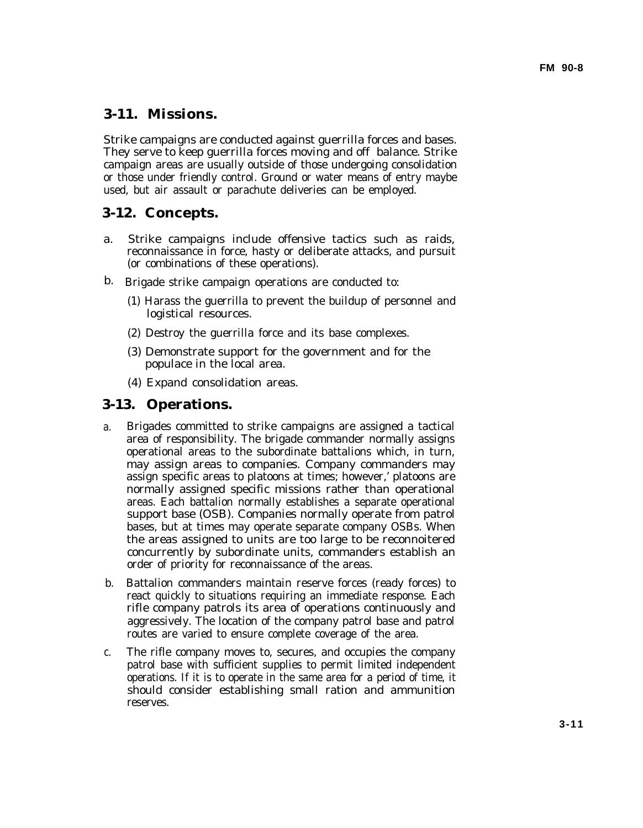# **3-11. Missions.**

Strike campaigns are conducted against guerrilla forces and bases. They serve to keep guerrilla forces moving and off balance. Strike campaign areas are usually outside of those undergoing consolidation or those under friendly control. Ground or water means of entry maybe used, but air assault or parachute deliveries can be employed.

#### **3-12. Concepts.**

- a. Strike campaigns include offensive tactics such as raids, reconnaissance in force, hasty or deliberate attacks, and pursuit (or combinations of these operations).
- b. Brigade strike campaign operations are conducted to:
	- (1) Harass the guerrilla to prevent the buildup of personnel and logistical resources.
	- (2) Destroy the guerrilla force and its base complexes.
	- (3) Demonstrate support for the government and for the populace in the local area.
	- (4) Expand consolidation areas.

### **3-13. Operations.**

- a. Brigades committed to strike campaigns are assigned a tactical area of responsibility. The brigade commander normally assigns operational areas to the subordinate battalions which, in turn, may assign areas to companies. Company commanders may assign specific areas to platoons at times; however,' platoons are normally assigned specific missions rather than operational areas. Each battalion normally establishes a separate operational support base (OSB). Companies normally operate from patrol bases, but at times may operate separate company OSBs. When the areas assigned to units are too large to be reconnoitered concurrently by subordinate units, commanders establish an order of priority for reconnaissance of the areas.
- b. Battalion commanders maintain reserve forces (ready forces) to react quickly to situations requiring an immediate response. Each rifle company patrols its area of operations continuously and aggressively. The location of the company patrol base and patrol routes are varied to ensure complete coverage of the area.
- c. The rifle company moves to, secures, and occupies the company patrol base with sufficient supplies to permit limited independent operations. If it is to operate in the same area for a period of time, it should consider establishing small ration and ammunition reserves.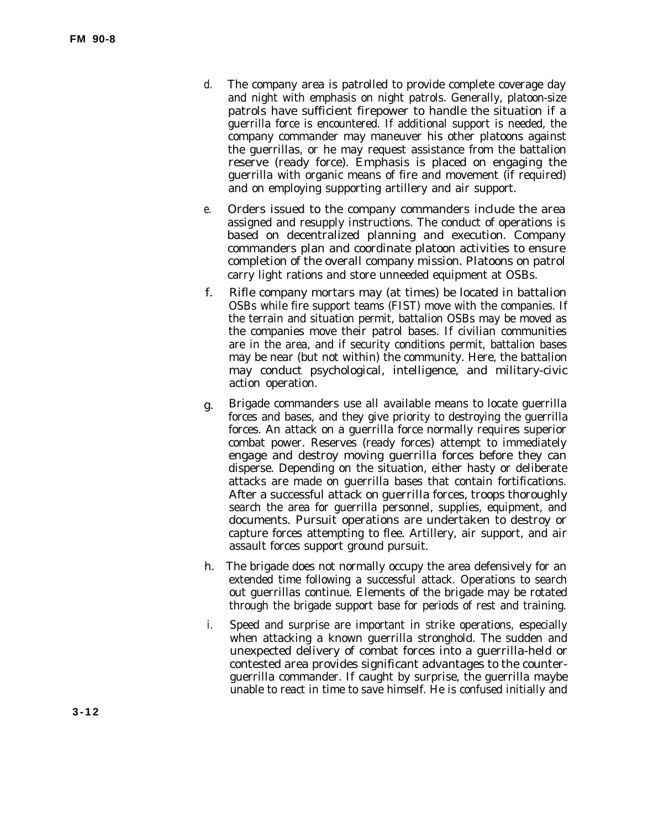- d. The company area is patrolled to provide complete coverage day and night with emphasis on night patrols. Generally, platoon-size patrols have sufficient firepower to handle the situation if a guerrilla force is encountered. If additional support is needed, the company commander may maneuver his other platoons against the guerrillas, or he may request assistance from the battalion reserve (ready force). Emphasis is placed on engaging the guerrilla with organic means of fire and movement (if required) and on employing supporting artillery and air support.
- e. Orders issued to the company commanders include the area assigned and resupply instructions. The conduct of operations is based on decentralized planning and execution. Company commanders plan and coordinate platoon activities to ensure completion of the overall company mission. Platoons on patrol carry light rations and store unneeded equipment at OSBs.
- f. Rifle company mortars may (at times) be located in battalion OSBs while fire support teams (FIST) move with the companies. If the terrain and situation permit, battalion OSBs may be moved as the companies move their patrol bases. If civilian communities are in the area, and if security conditions permit, battalion bases may be near (but not within) the community. Here, the battalion may conduct psychological, intelligence, and military-civic action operation.
- g. Brigade commanders use all available means to locate guerrilla forces and bases, and they give priority to destroying the guerrilla forces. An attack on a guerrilla force normally requires superior combat power. Reserves (ready forces) attempt to immediately engage and destroy moving guerrilla forces before they can disperse. Depending on the situation, either hasty or deliberate attacks are made on guerrilla bases that contain fortifications. After a successful attack on guerrilla forces, troops thoroughly search the area for guerrilla personnel, supplies, equipment, and documents. Pursuit operations are undertaken to destroy or capture forces attempting to flee. Artillery, air support, and air assault forces support ground pursuit.
- h. The brigade does not normally occupy the area defensively for an extended time following a successful attack. Operations to search out guerrillas continue. Elements of the brigade may be rotated through the brigade support base for periods of rest and training.
- i. Speed and surprise are important in strike operations, especially when attacking a known guerrilla stronghold. The sudden and unexpected delivery of combat forces into a guerrilla-held or contested area provides significant advantages to the counterguerrilla commander. If caught by surprise, the guerrilla maybe unable to react in time to save himself. He is confused initially and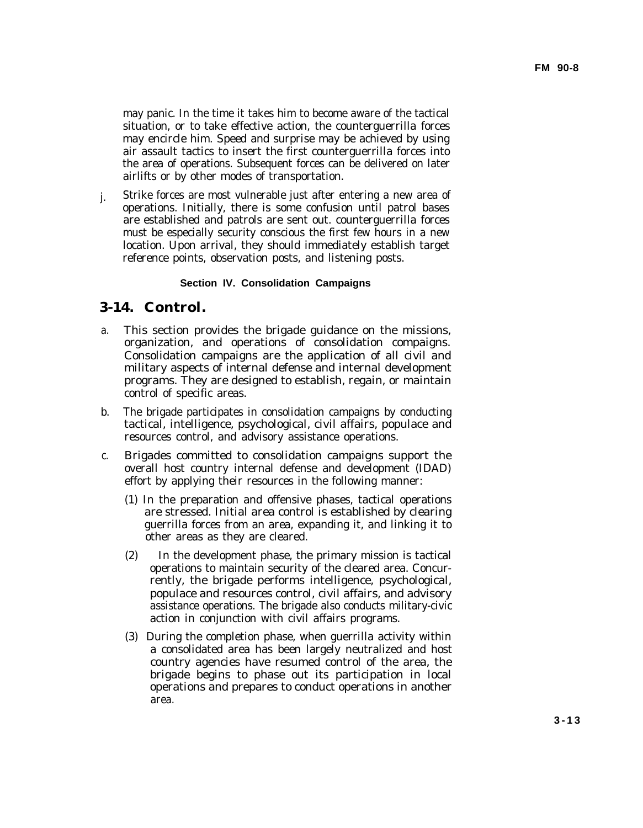may panic. In the time it takes him to become aware of the tactical situation, or to take effective action, the counterguerrilla forces may encircle him. Speed and surprise may be achieved by using air assault tactics to insert the first counterguerrilla forces into the area of operations. Subsequent forces can be delivered on later airlifts or by other modes of transportation.

j. Strike forces are most vulnerable just after entering a new area of operations. Initially, there is some confusion until patrol bases are established and patrols are sent out. counterguerrilla forces must be especially security conscious the first few hours in a new location. Upon arrival, they should immediately establish target reference points, observation posts, and listening posts.

#### **Section IV. Consolidation Campaigns**

# **3-14. Control.**

- a. This section provides the brigade guidance on the missions, organization, and operations of consolidation compaigns. Consolidation campaigns are the application of all civil and military aspects of internal defense and internal development programs. They are designed to establish, regain, or maintain control of specific areas.
- b. The brigade participates in consolidation campaigns by conducting tactical, intelligence, psychological, civil affairs, populace and resources control, and advisory assistance operations.
- c. Brigades committed to consolidation campaigns support the overall host country internal defense and development (IDAD) effort by applying their resources in the following manner:
	- (1) In the preparation and offensive phases, tactical operations are stressed. Initial area control is established by clearing guerrilla forces from an area, expanding it, and linking it to other areas as they are cleared.
	- (2) In the development phase, the primary mission is tactical operations to maintain security of the cleared area. Concurrently, the brigade performs intelligence, psychological, populace and resources control, civil affairs, and advisory assistance operations. The brigade also conducts military-civic action in conjunction with civil affairs programs.
	- (3) During the completion phase, when guerrilla activity within a consolidated area has been largely neutralized and host country agencies have resumed control of the area, the brigade begins to phase out its participation in local operations and prepares to conduct operations in another area.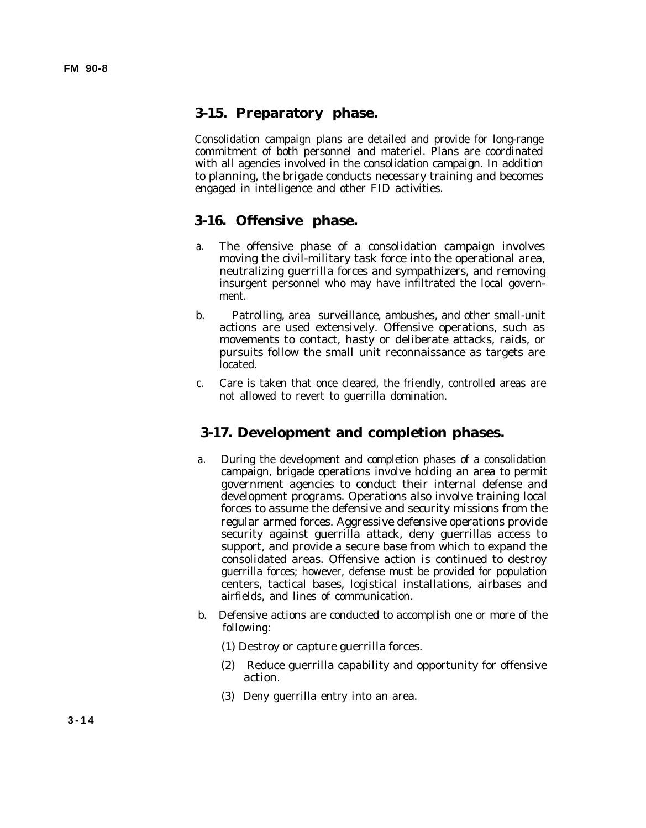## **3-15. Preparatory phase.**

Consolidation campaign plans are detailed and provide for long-range commitment of both personnel and materiel. Plans are coordinated with all agencies involved in the consolidation campaign. In addition to planning, the brigade conducts necessary training and becomes engaged in intelligence and other FID activities.

## **3-16. Offensive phase.**

- a. The offensive phase of a consolidation campaign involves moving the civil-military task force into the operational area, neutralizing guerrilla forces and sympathizers, and removing insurgent personnel who may have infiltrated the local government.
- b. Patrolling, area surveillance, ambushes, and other small-unit actions are used extensively. Offensive operations, such as movements to contact, hasty or deliberate attacks, raids, or pursuits follow the small unit reconnaissance as targets are located.
- c. Care is taken that once cleared, the friendly, controlled areas are not allowed to revert to guerrilla domination.

# **3-17. Development and completion phases.**

- a. During the development and completion phases of a consolidation campaign, brigade operations involve holding an area to permit government agencies to conduct their internal defense and development programs. Operations also involve training local forces to assume the defensive and security missions from the regular armed forces. Aggressive defensive operations provide security against guerrilla attack, deny guerrillas access to support, and provide a secure base from which to expand the consolidated areas. Offensive action is continued to destroy guerrilla forces; however, defense must be provided for population centers, tactical bases, logistical installations, airbases and airfields, and lines of communication.
- b. Defensive actions are conducted to accomplish one or more of the following:
	- (1) Destroy or capture guerrilla forces.
	- (2) Reduce guerrilla capability and opportunity for offensive action.
	- (3) Deny guerrilla entry into an area.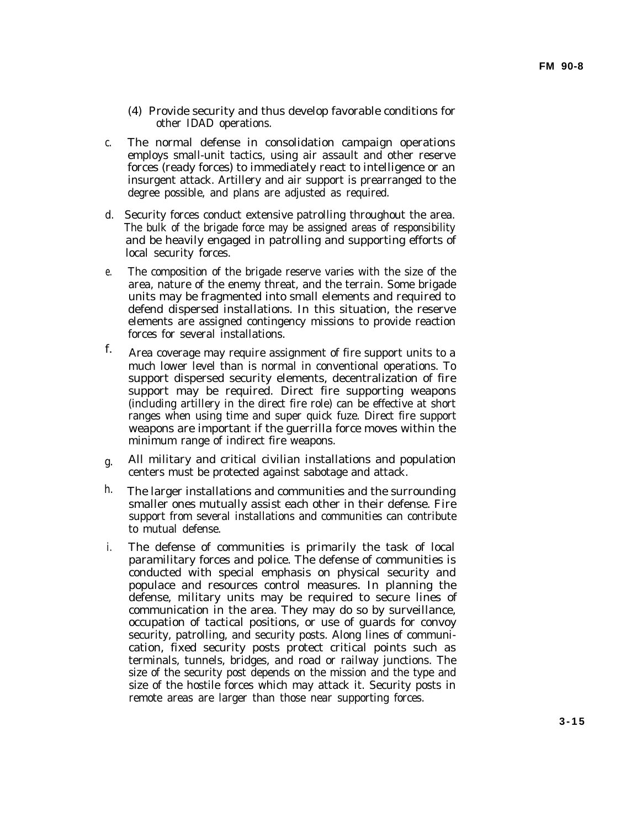- (4) Provide security and thus develop favorable conditions for other IDAD operations.
- c. The normal defense in consolidation campaign operations employs small-unit tactics, using air assault and other reserve forces (ready forces) to immediately react to intelligence or an insurgent attack. Artillery and air support is prearranged to the degree possible, and plans are adjusted as required.
- d. Security forces conduct extensive patrolling throughout the area. The bulk of the brigade force may be assigned areas of responsibility and be heavily engaged in patrolling and supporting efforts of local security forces.
- e. The composition of the brigade reserve varies with the size of the area, nature of the enemy threat, and the terrain. Some brigade units may be fragmented into small elements and required to defend dispersed installations. In this situation, the reserve elements are assigned contingency missions to provide reaction forces for several installations.
- f. Area coverage may require assignment of fire support units to a much lower level than is normal in conventional operations. To support dispersed security elements, decentralization of fire support may be required. Direct fire supporting weapons (including artillery in the direct fire role) can be effective at short ranges when using time and super quick fuze. Direct fire support weapons are important if the guerrilla force moves within the minimum range of indirect fire weapons.
- g. All military and critical civilian installations and population centers must be protected against sabotage and attack.
- h. The larger installations and communities and the surrounding smaller ones mutually assist each other in their defense. Fire support from several installations and communities can contribute to mutual defense.
- i. The defense of communities is primarily the task of local paramilitary forces and police. The defense of communities is conducted with special emphasis on physical security and populace and resources control measures. In planning the defense, military units may be required to secure lines of communication in the area. They may do so by surveillance, occupation of tactical positions, or use of guards for convoy security, patrolling, and security posts. Along lines of communication, fixed security posts protect critical points such as terminals, tunnels, bridges, and road or railway junctions. The size of the security post depends on the mission and the type and size of the hostile forces which may attack it. Security posts in remote areas are larger than those near supporting forces.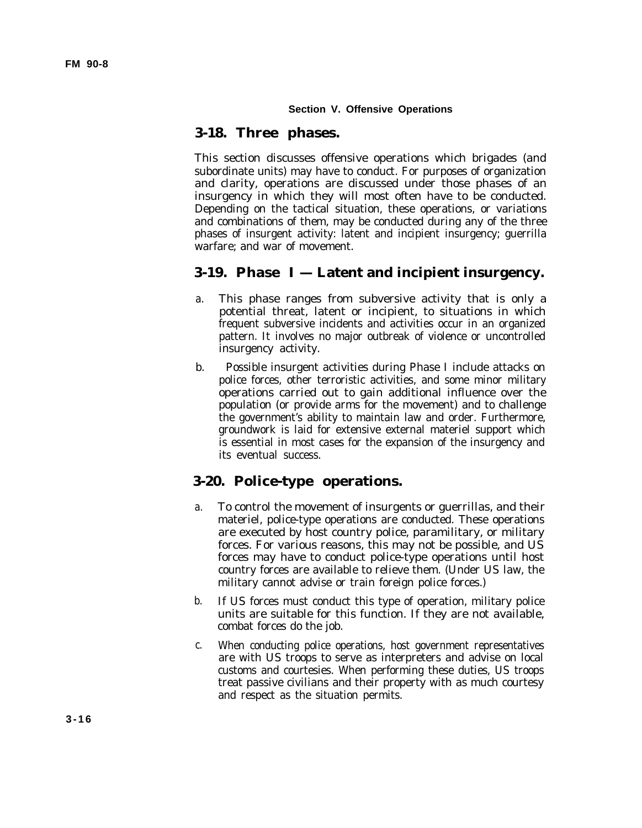# <span id="page-15-0"></span>**3-18. Three phases.**

This section discusses offensive operations which brigades (and subordinate units) may have to conduct. For purposes of organization and clarity, operations are discussed under those phases of an insurgency in which they will most often have to be conducted. Depending on the tactical situation, these operations, or variations and combinations of them, may be conducted during any of the three phases of insurgent activity: latent and incipient insurgency; guerrilla warfare; and war of movement.

# **3-19. Phase I — Latent and incipient insurgency.**

- a. This phase ranges from subversive activity that is only a potential threat, latent or incipient, to situations in which frequent subversive incidents and activities occur in an organized pattern. It involves no major outbreak of violence or uncontrolled insurgency activity.
- b. Possible insurgent activities during Phase I include attacks on police forces, other terroristic activities, and some minor military operations carried out to gain additional influence over the population (or provide arms for the movement) and to challenge the government's ability to maintain law and order. Furthermore, groundwork is laid for extensive external materiel support which is essential in most cases for the expansion of the insurgency and its eventual success.

# **3-20. Police-type operations.**

- a. To control the movement of insurgents or guerrillas, and their materiel, police-type operations are conducted. These operations are executed by host country police, paramilitary, or military forces. For various reasons, this may not be possible, and US forces may have to conduct police-type operations until host country forces are available to relieve them. (Under US law, the military cannot advise or train foreign police forces.)
- b. If US forces must conduct this type of operation, military police units are suitable for this function. If they are not available, combat forces do the job.
- c. When conducting police operations, host government representatives are with US troops to serve as interpreters and advise on local customs and courtesies. When performing these duties, US troops treat passive civilians and their property with as much courtesy and respect as the situation permits.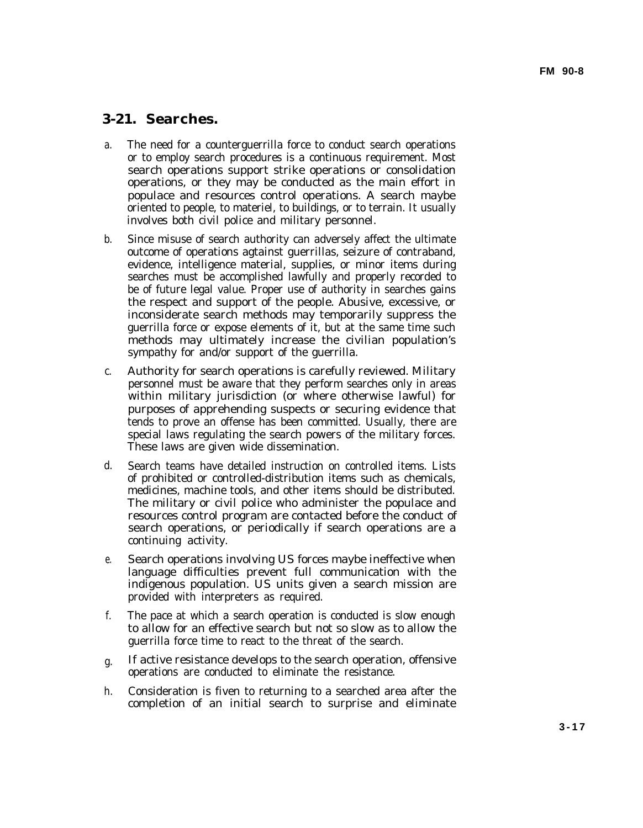# **3-21. Searches.**

- a. The need for a counterguerrilla force to conduct search operations or to employ search procedures is a continuous requirement. Most search operations support strike operations or consolidation operations, or they may be conducted as the main effort in populace and resources control operations. A search maybe oriented to people, to materiel, to buildings, or to terrain. It usually involves both civil police and military personnel.
- b. Since misuse of search authority can adversely affect the ultimate outcome of operations agtainst guerrillas, seizure of contraband, evidence, intelligence material, supplies, or minor items during searches must be accomplished lawfully and properly recorded to be of future legal value. Proper use of authority in searches gains the respect and support of the people. Abusive, excessive, or inconsiderate search methods may temporarily suppress the guerrilla force or expose elements of it, but at the same time such methods may ultimately increase the civilian population's sympathy for and/or support of the guerrilla.
- c. Authority for search operations is carefully reviewed. Military personnel must be aware that they perform searches only in areas within military jurisdiction (or where otherwise lawful) for purposes of apprehending suspects or securing evidence that tends to prove an offense has been committed. Usually, there are special laws regulating the search powers of the military forces. These laws are given wide dissemination.
- d. Search teams have detailed instruction on controlled items. Lists of prohibited or controlled-distribution items such as chemicals, medicines, machine tools, and other items should be distributed. The military or civil police who administer the populace and resources control program are contacted before the conduct of search operations, or periodically if search operations are a continuing activity.
- e. Search operations involving US forces maybe ineffective when language difficulties prevent full communication with the indigenous population. US units given a search mission are provided with interpreters as required.
- f. The pace at which a search operation is conducted is slow enough to allow for an effective search but not so slow as to allow the guerrilla force time to react to the threat of the search.
- g. If active resistance develops to the search operation, offensive operations are conducted to eliminate the resistance.
- h. Consideration is fiven to returning to a searched area after the completion of an initial search to surprise and eliminate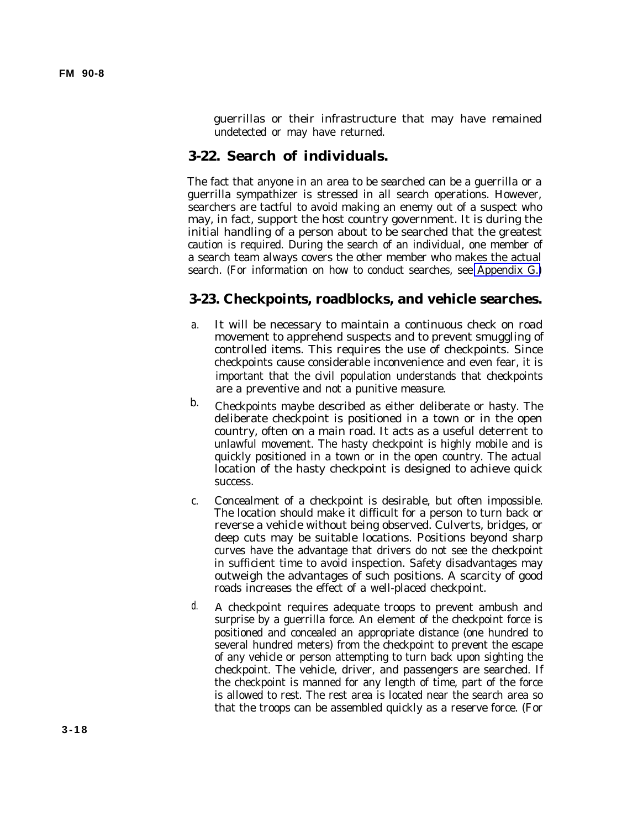guerrillas or their infrastructure that may have remained undetected or may have returned.

## **3-22. Search of individuals.**

The fact that anyone in an area to be searched can be a guerrilla or a guerrilla sympathizer is stressed in all search operations. However, searchers are tactful to avoid making an enemy out of a suspect who may, in fact, support the host country government. It is during the initial handling of a person about to be searched that the greatest caution is required. During the search of an individual, one member of a search team always covers the other member who makes the actual search. (For information on how to conduct searches, see [Appendix G.\)](#page-0-0)

# **3-23. Checkpoints, roadblocks, and vehicle searches.**

- a. It will be necessary to maintain a continuous check on road movement to apprehend suspects and to prevent smuggling of controlled items. This requires the use of checkpoints. Since checkpoints cause considerable inconvenience and even fear, it is important that the civil population understands that checkpoints are a preventive and not a punitive measure.
- b. Checkpoints maybe described as either deliberate or hasty. The deliberate checkpoint is positioned in a town or in the open country, often on a main road. It acts as a useful deterrent to unlawful movement. The hasty checkpoint is highly mobile and is quickly positioned in a town or in the open country. The actual location of the hasty checkpoint is designed to achieve quick success.
- c. Concealment of a checkpoint is desirable, but often impossible. The location should make it difficult for a person to turn back or reverse a vehicle without being observed. Culverts, bridges, or deep cuts may be suitable locations. Positions beyond sharp curves have the advantage that drivers do not see the checkpoint in sufficient time to avoid inspection. Safety disadvantages may outweigh the advantages of such positions. A scarcity of good roads increases the effect of a well-placed checkpoint.
- d. A checkpoint requires adequate troops to prevent ambush and surprise by a guerrilla force. An element of the checkpoint force is positioned and concealed an appropriate distance (one hundred to several hundred meters) from the checkpoint to prevent the escape of any vehicle or person attempting to turn back upon sighting the checkpoint. The vehicle, driver, and passengers are searched. If the checkpoint is manned for any length of time, part of the force is allowed to rest. The rest area is located near the search area so that the troops can be assembled quickly as a reserve force. (For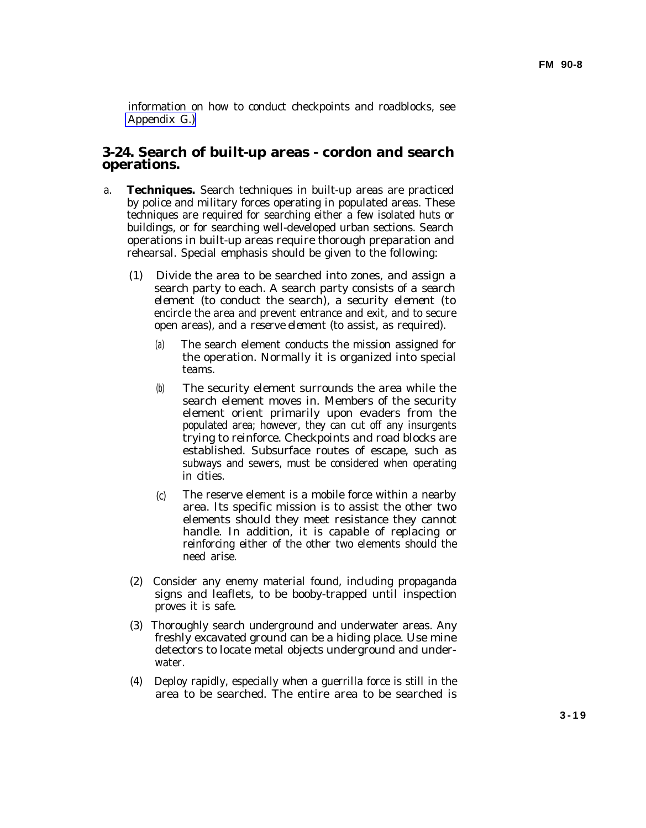information on how to conduct checkpoints and roadblocks, see [Appendix G.\)](#page-0-0)

#### **3-24. Search of built-up areas - cordon and search operations.**

- a. **Techniques.** Search techniques in built-up areas are practiced by police and military forces operating in populated areas. These techniques are required for searching either a few isolated huts or buildings, or for searching well-developed urban sections. Search operations in built-up areas require thorough preparation and rehearsal. Special emphasis should be given to the following:
	- (1) Divide the area to be searched into zones, and assign a search party to each. A search party consists of a *search element* (to conduct the search), a *security element* (to encircle the area and prevent entrance and exit, and to secure open areas), and a *reserve element* (to assist, as required).
		- (a) The search element conducts the mission assigned for the operation. Normally it is organized into special teams.
		- (b) The security element surrounds the area while the search element moves in. Members of the security element orient primarily upon evaders from the populated area; however, they can cut off any insurgents trying to reinforce. Checkpoints and road blocks are established. Subsurface routes of escape, such as subways and sewers, must be considered when operating in cities.
		- (c) The reserve element is a mobile force within a nearby area. Its specific mission is to assist the other two elements should they meet resistance they cannot handle. In addition, it is capable of replacing or reinforcing either of the other two elements should the need arise.
	- (2) Consider any enemy material found, including propaganda signs and leaflets, to be booby-trapped until inspection proves it is safe.
	- (3) Thoroughly search underground and underwater areas. Any freshly excavated ground can be a hiding place. Use mine detectors to locate metal objects underground and underwater.
	- (4) Deploy rapidly, especially when a guerrilla force is still in the area to be searched. The entire area to be searched is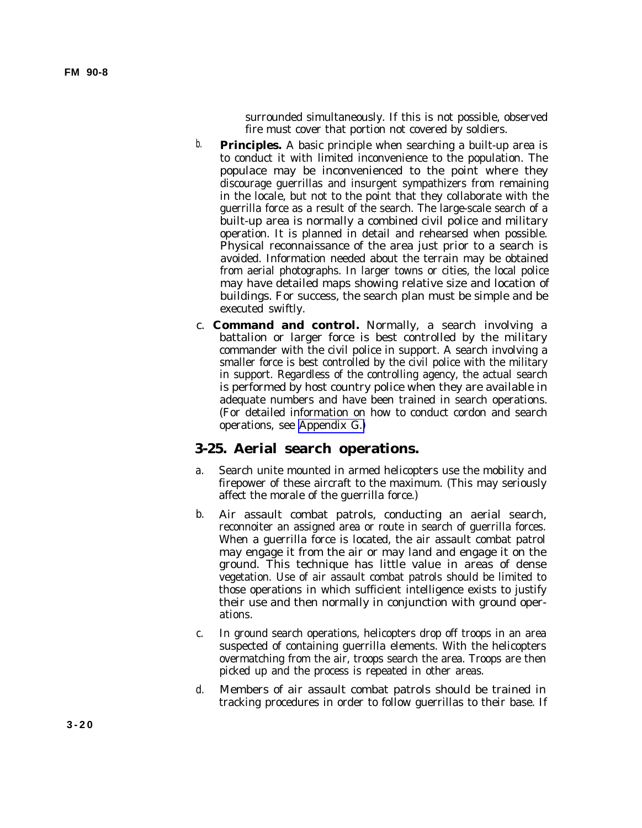surrounded simultaneously. If this is not possible, observed fire must cover that portion not covered by soldiers.

- b. **Principles.** A basic principle when searching a built-up area is to conduct it with limited inconvenience to the population. The populace may be inconvenienced to the point where they discourage guerrillas and insurgent sympathizers from remaining in the locale, but not to the point that they collaborate with the guerrilla force as a result of the search. The large-scale search of a built-up area is normally a combined civil police and military operation. It is planned in detail and rehearsed when possible. Physical reconnaissance of the area just prior to a search is avoided. Information needed about the terrain may be obtained from aerial photographs. In larger towns or cities, the local police may have detailed maps showing relative size and location of buildings. For success, the search plan must be simple and be executed swiftly.
- c. **Command and control.** Normally, a search involving a battalion or larger force is best controlled by the military commander with the civil police in support. A search involving a smaller force is best controlled by the civil police with the military in support. Regardless of the controlling agency, the actual search is performed by host country police when they are available in adequate numbers and have been trained in search operations. (For detailed information on how to conduct cordon and search operations, see [Appendix G.\)](#page-0-0)

## **3-25. Aerial search operations.**

- a. Search unite mounted in armed helicopters use the mobility and firepower of these aircraft to the maximum. (This may seriously affect the morale of the guerrilla force.)
- b. Air assault combat patrols, conducting an aerial search, reconnoiter an assigned area or route in search of guerrilla forces. When a guerrilla force is located, the air assault combat patrol may engage it from the air or may land and engage it on the ground. This technique has little value in areas of dense vegetation. Use of air assault combat patrols should be limited to those operations in which sufficient intelligence exists to justify their use and then normally in conjunction with ground operations.
- c. In ground search operations, helicopters drop off troops in an area suspected of containing guerrilla elements. With the helicopters overmatching from the air, troops search the area. Troops are then picked up and the process is repeated in other areas.
- d. Members of air assault combat patrols should be trained in tracking procedures in order to follow guerrillas to their base. If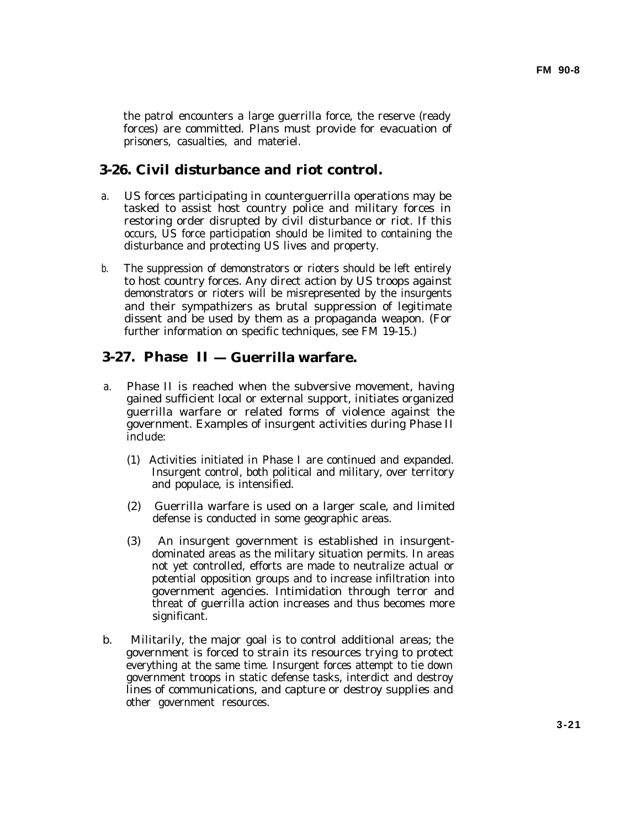the patrol encounters a large guerrilla force, the reserve (ready forces) are committed. Plans must provide for evacuation of prisoners, casualties, and materiel.

## **3-26. Civil disturbance and riot control.**

- a. US forces participating in counterguerrilla operations may be tasked to assist host country police and military forces in restoring order disrupted by civil disturbance or riot. If this occurs, US force participation should be limited to containing the disturbance and protecting US lives and property.
- b. The suppression of demonstrators or rioters should be left entirely to host country forces. Any direct action by US troops against demonstrators or rioters will be misrepresented by the insurgents and their sympathizers as brutal suppression of legitimate dissent and be used by them as a propaganda weapon. (For further information on specific techniques, see FM 19-15.)

# **3-27. Phase II — Guerrilla warfare.**

- a. Phase II is reached when the subversive movement, having gained sufficient local or external support, initiates organized guerrilla warfare or related forms of violence against the government. Examples of insurgent activities during Phase II include:
	- (1) Activities initiated in Phase I are continued and expanded. Insurgent control, both political and military, over territory and populace, is intensified.
	- (2) Guerrilla warfare is used on a larger scale, and limited defense is conducted in some geographic areas.
	- (3) An insurgent government is established in insurgentdominated areas as the military situation permits. In areas not yet controlled, efforts are made to neutralize actual or potential opposition groups and to increase infiltration into government agencies. Intimidation through terror and threat of guerrilla action increases and thus becomes more significant.
- b. Militarily, the major goal is to control additional areas; the government is forced to strain its resources trying to protect everything at the same time. Insurgent forces attempt to tie down government troops in static defense tasks, interdict and destroy lines of communications, and capture or destroy supplies and other government resources.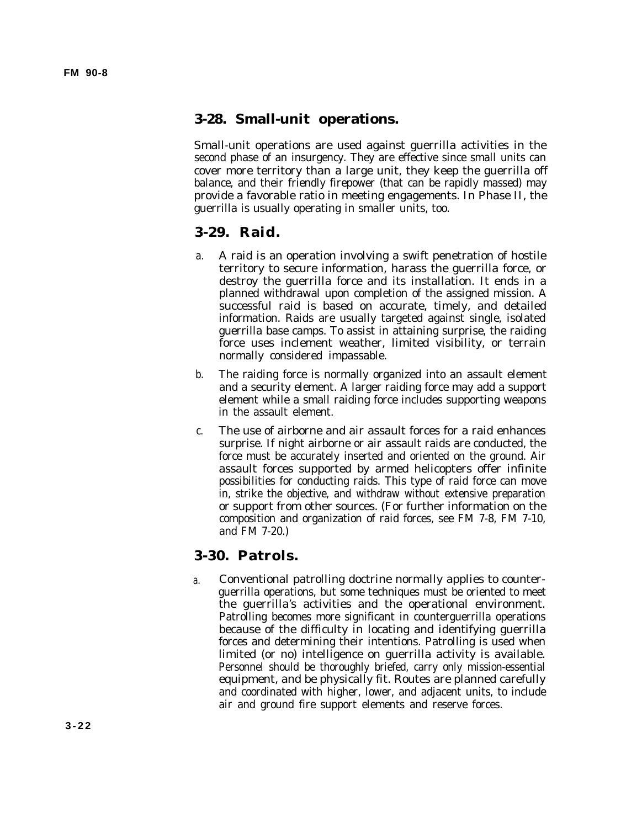## **3-28. Small-unit operations.**

Small-unit operations are used against guerrilla activities in the second phase of an insurgency. They are effective since small units can cover more territory than a large unit, they keep the guerrilla off balance, and their friendly firepower (that can be rapidly massed) may provide a favorable ratio in meeting engagements. In Phase II, the guerrilla is usually operating in smaller units, too.

## **3-29. Raid.**

- a. A raid is an operation involving a swift penetration of hostile territory to secure information, harass the guerrilla force, or destroy the guerrilla force and its installation. It ends in a planned withdrawal upon completion of the assigned mission. A successful raid is based on accurate, timely, and detailed information. Raids are usually targeted against single, isolated guerrilla base camps. To assist in attaining surprise, the raiding force uses inclement weather, limited visibility, or terrain normally considered impassable.
- b. The raiding force is normally organized into an assault element and a security element. A larger raiding force may add a support element while a small raiding force includes supporting weapons in the assault element.
- c. The use of airborne and air assault forces for a raid enhances surprise. If night airborne or air assault raids are conducted, the force must be accurately inserted and oriented on the ground. Air assault forces supported by armed helicopters offer infinite possibilities for conducting raids. This type of raid force can move in, strike the objective, and withdraw without extensive preparation or support from other sources. (For further information on the composition and organization of raid forces, see FM 7-8, FM 7-10, and FM 7-20.)

#### **3-30. Patrols.**

a. Conventional patrolling doctrine normally applies to counterguerrilla operations, but some techniques must be oriented to meet the guerrilla's activities and the operational environment. Patrolling becomes more significant in counterguerrilla operations because of the difficulty in locating and identifying guerrilla forces and determining their intentions. Patrolling is used when limited (or no) intelligence on guerrilla activity is available. Personnel should be thoroughly briefed, carry only mission-essential equipment, and be physically fit. Routes are planned carefully and coordinated with higher, lower, and adjacent units, to include air and ground fire support elements and reserve forces.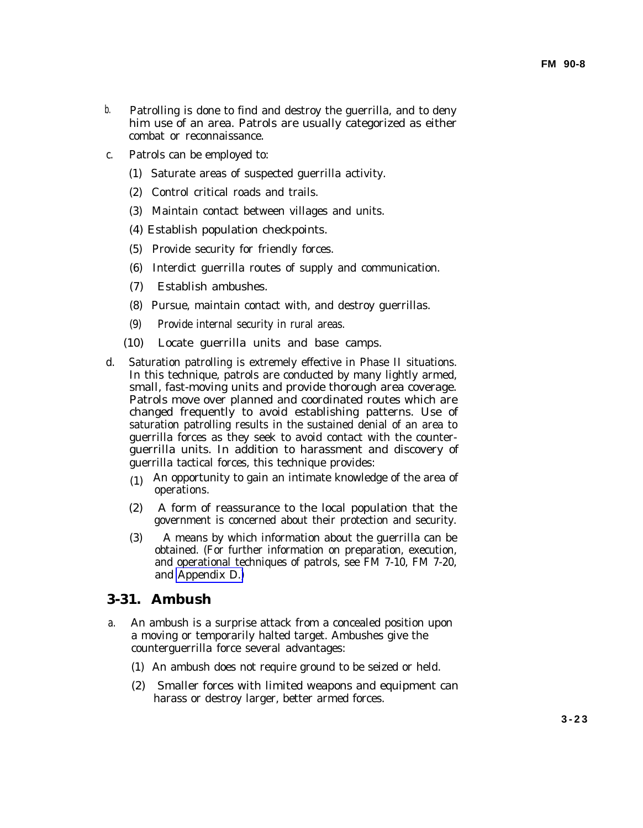- $\mathbf{b}$ . Patrolling is done to find and destroy the guerrilla, and to deny him use of an area. Patrols are usually categorized as either combat or reconnaissance.
- c. Patrols can be employed to:
	- (1) Saturate areas of suspected guerrilla activity.
	- (2) Control critical roads and trails.
	- (3) Maintain contact between villages and units.
	- (4) Establish population checkpoints.
	- (5) Provide security for friendly forces.
	- (6) Interdict guerrilla routes of supply and communication.
	- (7) Establish ambushes.
	- (8) Pursue, maintain contact with, and destroy guerrillas.
	- (9) Provide internal security in rural areas.
	- (10) Locate guerrilla units and base camps.
- d. Saturation patrolling is extremely effective in Phase II situations. In this technique, patrols are conducted by many lightly armed, small, fast-moving units and provide thorough area coverage. Patrols move over planned and coordinated routes which are changed frequently to avoid establishing patterns. Use of saturation patrolling results in the sustained denial of an area to guerrilla forces as they seek to avoid contact with the counterguerrilla units. In addition to harassment and discovery of guerrilla tactical forces, this technique provides:
	- (1) An opportunity to gain an intimate knowledge of the area of operations.
	- (2) A form of reassurance to the local population that the government is concerned about their protection and security.
	- (3) A means by which information about the guerrilla can be obtained. (For further information on preparation, execution, and operational techniques of patrols, see FM 7-10, FM 7-20, and [Appendix D.\)](#page-0-0)

## **3-31. Ambush**

- a. An ambush is a surprise attack from a concealed position upon a moving or temporarily halted target. Ambushes give the counterguerrilla force several advantages:
	- (1) An ambush does not require ground to be seized or held.
	- (2) Smaller forces with limited weapons and equipment can harass or destroy larger, better armed forces.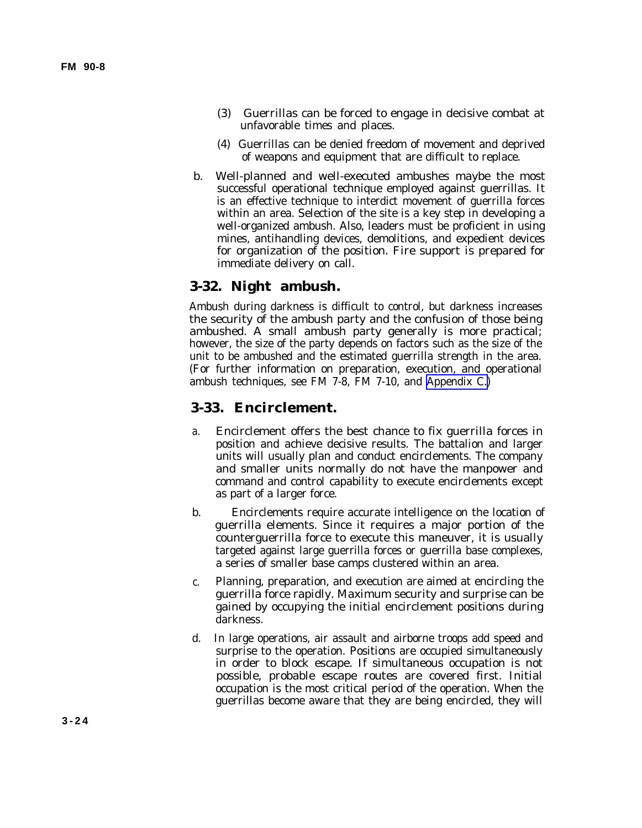- (3) Guerrillas can be forced to engage in decisive combat at unfavorable times and places.
- (4) Guerrillas can be denied freedom of movement and deprived of weapons and equipment that are difficult to replace.
- b. Well-planned and well-executed ambushes maybe the most successful operational technique employed against guerrillas. It is an effective technique to interdict movement of guerrilla forces within an area. Selection of the site is a key step in developing a well-organized ambush. Also, leaders must be proficient in using mines, antihandling devices, demolitions, and expedient devices for organization of the position. Fire support is prepared for immediate delivery on call.

## **3-32. Night ambush.**

Ambush during darkness is difficult to control, but darkness increases the security of the ambush party and the confusion of those being ambushed. A small ambush party generally is more practical; however, the size of the party depends on factors such as the size of the unit to be ambushed and the estimated guerrilla strength in the area. (For further information on preparation, execution, and operational ambush techniques, see FM 7-8, FM 7-10, and [Appendix C.\)](#page-0-0)

## **3-33. Encirclement.**

- a. Encirclement offers the best chance to fix guerrilla forces in position and achieve decisive results. The battalion and larger units will usually plan and conduct encirclements. The company and smaller units normally do not have the manpower and command and control capability to execute encirclements except as part of a larger force.
- b. Encirclements require accurate intelligence on the location of guerrilla elements. Since it requires a major portion of the counterguerrilla force to execute this maneuver, it is usually targeted against large guerrilla forces or guerrilla base complexes, a series of smaller base camps clustered within an area.
- c. Planning, preparation, and execution are aimed at encircling the guerrilla force rapidly. Maximum security and surprise can be gained by occupying the initial encirclement positions during darkness.
- d. In large operations, air assault and airborne troops add speed and surprise to the operation. Positions are occupied simultaneously in order to block escape. If simultaneous occupation is not possible, probable escape routes are covered first. Initial occupation is the most critical period of the operation. When the guerrillas become aware that they are being encircled, they will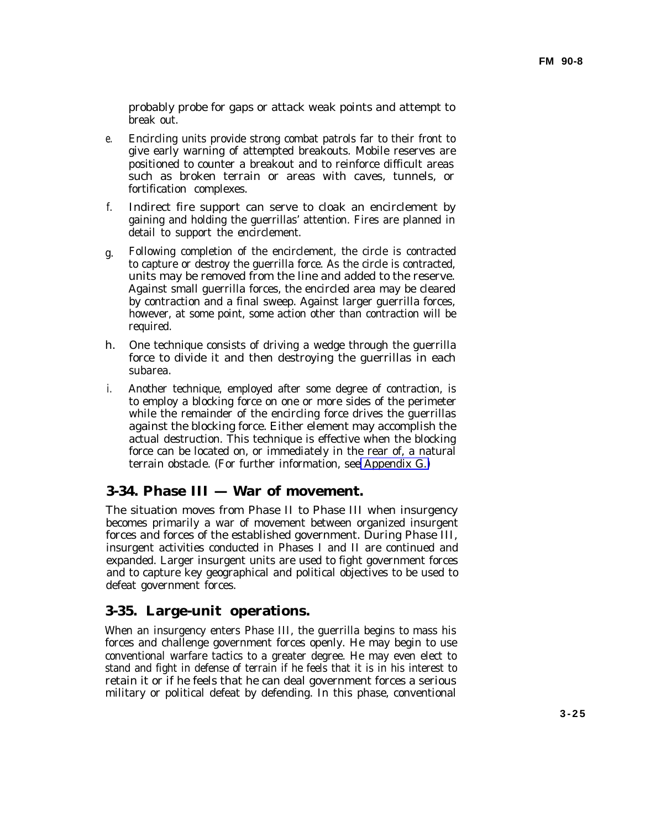probably probe for gaps or attack weak points and attempt to break out.

- e. Encircling units provide strong combat patrols far to their front to give early warning of attempted breakouts. Mobile reserves are positioned to counter a breakout and to reinforce difficult areas such as broken terrain or areas with caves, tunnels, or fortification complexes.
- f. Indirect fire support can serve to cloak an encirclement by gaining and holding the guerrillas' attention. Fires are planned in detail to support the encirclement.
- g. Following completion of the encirclement, the circle is contracted to capture or destroy the guerrilla force. As the circle is contracted, units may be removed from the line and added to the reserve. Against small guerrilla forces, the encircled area may be cleared by contraction and a final sweep. Against larger guerrilla forces, however, at some point, some action other than contraction will be required.
- h. One technique consists of driving a wedge through the guerrilla force to divide it and then destroying the guerrillas in each subarea.
- i. Another technique, employed after some degree of contraction, is to employ a blocking force on one or more sides of the perimeter while the remainder of the encircling force drives the guerrillas against the blocking force. Either element may accomplish the actual destruction. This technique is effective when the blocking force can be located on, or immediately in the rear of, a natural terrain obstacle. (For further information, see [Appendix G.\)](#page-0-0)

## **3-34. Phase III — War of movement.**

The situation moves from Phase II to Phase III when insurgency becomes primarily a war of movement between organized insurgent forces and forces of the established government. During Phase III, insurgent activities conducted in Phases I and II are continued and expanded. Larger insurgent units are used to fight government forces and to capture key geographical and political objectives to be used to defeat government forces.

# **3-35. Large-unit operations.**

When an insurgency enters Phase III, the guerrilla begins to mass his forces and challenge government forces openly. He may begin to use conventional warfare tactics to a greater degree. He may even elect to stand and fight in defense of terrain if he feels that it is in his interest to retain it or if he feels that he can deal government forces a serious military or political defeat by defending. In this phase, conventional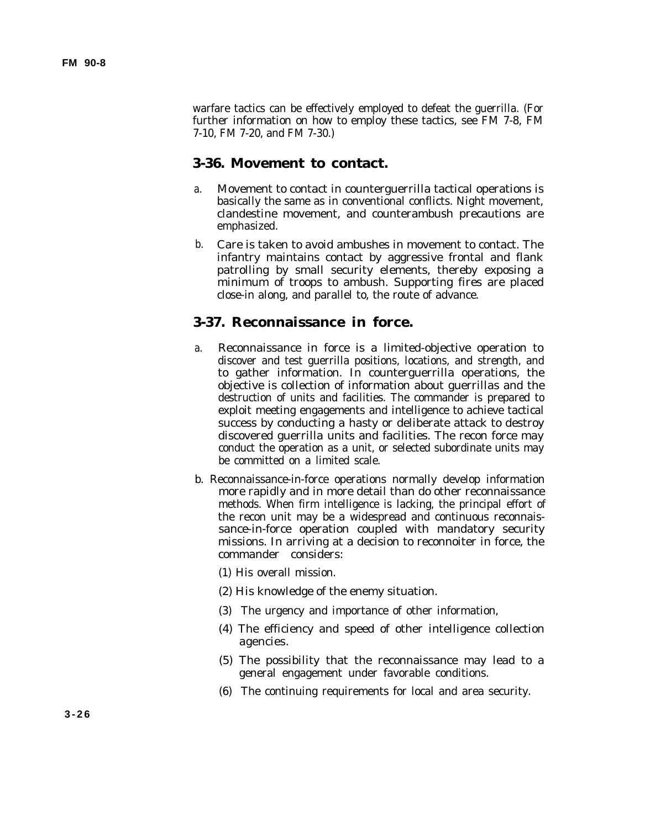warfare tactics can be effectively employed to defeat the guerrilla. (For further information on how to employ these tactics, see FM 7-8, FM 7-10, FM 7-20, and FM 7-30.)

#### **3-36. Movement to contact.**

- a. Movement to contact in counterguerrilla tactical operations is basically the same as in conventional conflicts. Night movement, clandestine movement, and counterambush precautions are emphasized.
- b. Care is taken to avoid ambushes in movement to contact. The infantry maintains contact by aggressive frontal and flank patrolling by small security elements, thereby exposing a minimum of troops to ambush. Supporting fires are placed close-in along, and parallel to, the route of advance.

## **3-37. Reconnaissance in force.**

- a. Reconnaissance in force is a limited-objective operation to discover and test guerrilla positions, locations, and strength, and to gather information. In counterguerrilla operations, the objective is collection of information about guerrillas and the destruction of units and facilities. The commander is prepared to exploit meeting engagements and intelligence to achieve tactical success by conducting a hasty or deliberate attack to destroy discovered guerrilla units and facilities. The recon force may conduct the operation as a unit, or selected subordinate units may be committed on a limited scale.
- b. Reconnaissance-in-force operations normally develop information more rapidly and in more detail than do other reconnaissance methods. When firm intelligence is lacking, the principal effort of the recon unit may be a widespread and continuous reconnaissance-in-force operation coupled with mandatory security missions. In arriving at a decision to reconnoiter in force, the commander considers:
	- (1) His overall mission.
	- (2) His knowledge of the enemy situation.
	- (3) The urgency and importance of other information,
	- (4) The efficiency and speed of other intelligence collection agencies.
	- (5) The possibility that the reconnaissance may lead to a general engagement under favorable conditions.
	- (6) The continuing requirements for local and area security.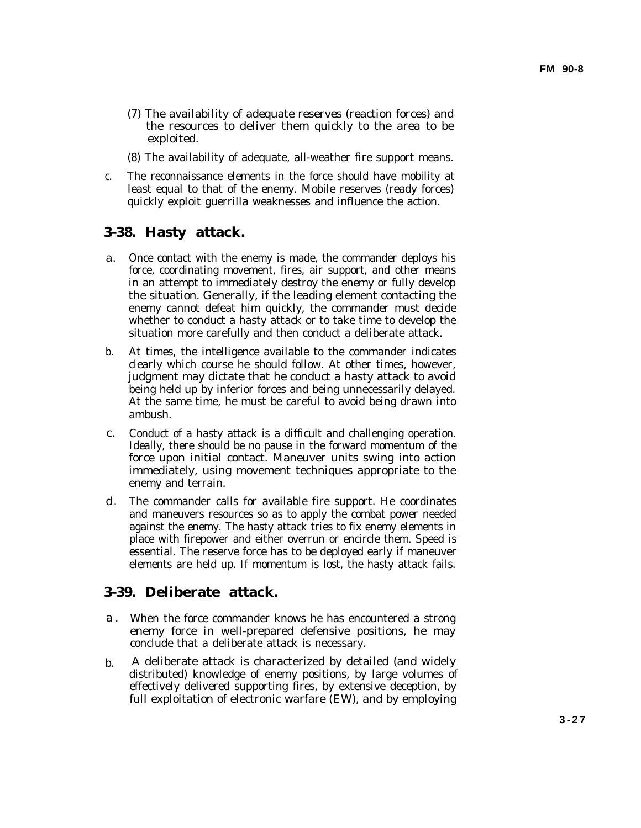- (7) The availability of adequate reserves (reaction forces) and the resources to deliver them quickly to the area to be exploited.
- (8) The availability of adequate, all-weather fire support means.
- c. The reconnaissance elements in the force should have mobility at least equal to that of the enemy. Mobile reserves (ready forces) quickly exploit guerrilla weaknesses and influence the action.

# **3-38. Hasty attack.**

- a. Once contact with the enemy is made, the commander deploys his force, coordinating movement, fires, air support, and other means in an attempt to immediately destroy the enemy or fully develop the situation. Generally, if the leading element contacting the enemy cannot defeat him quickly, the commander must decide whether to conduct a hasty attack or to take time to develop the situation more carefully and then conduct a deliberate attack.
- b. At times, the intelligence available to the commander indicates clearly which course he should follow. At other times, however, judgment may dictate that he conduct a hasty attack to avoid being held up by inferior forces and being unnecessarily delayed. At the same time, he must be careful to avoid being drawn into ambush.
- c. Conduct of a hasty attack is a difficult and challenging operation. Ideally, there should be no pause in the forward momentum of the force upon initial contact. Maneuver units swing into action immediately, using movement techniques appropriate to the enemy and terrain.
- d. The commander calls for available fire support. He coordinates and maneuvers resources so as to apply the combat power needed against the enemy. The hasty attack tries to fix enemy elements in place with firepower and either overrun or encircle them. Speed is essential. The reserve force has to be deployed early if maneuver elements are held up. If momentum is lost, the hasty attack fails.

## **3-39. Deliberate attack.**

- a . When the force commander knows he has encountered a strong enemy force in well-prepared defensive positions, he may conclude that a deliberate attack is necessary.
- A deliberate attack is characterized by detailed (and widely distributed) knowledge of enemy positions, by large volumes of effectively delivered supporting fires, by extensive deception, by full exploitation of electronic warfare (EW), and by employing b.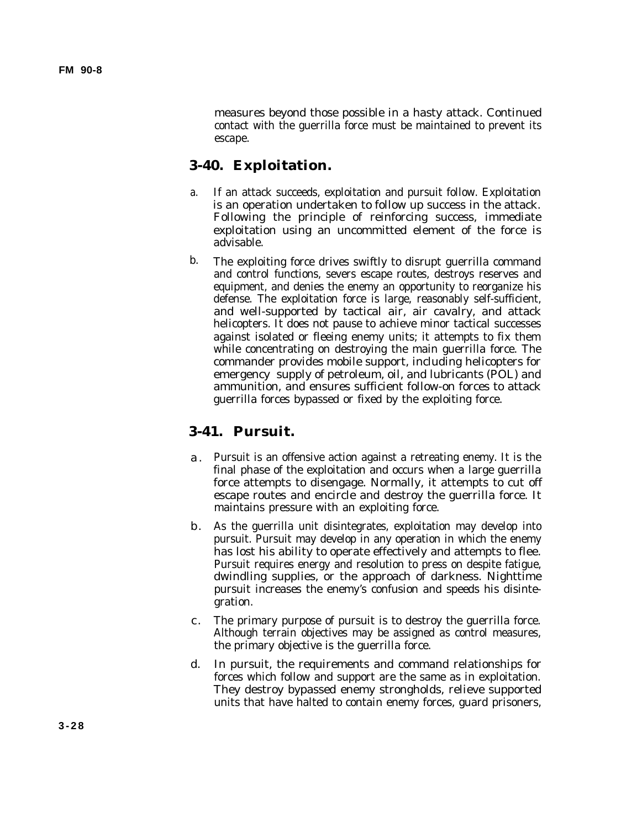measures beyond those possible in a hasty attack. Continued contact with the guerrilla force must be maintained to prevent its escape.

# **3-40. Exploitation.**

- a. If an attack succeeds, exploitation and pursuit follow. Exploitation is an operation undertaken to follow up success in the attack. Following the principle of reinforcing success, immediate exploitation using an uncommitted element of the force is advisable.
- b. The exploiting force drives swiftly to disrupt guerrilla command and control functions, severs escape routes, destroys reserves and equipment, and denies the enemy an opportunity to reorganize his defense. The exploitation force is large, reasonably self-sufficient, and well-supported by tactical air, air cavalry, and attack helicopters. It does not pause to achieve minor tactical successes against isolated or fleeing enemy units; it attempts to fix them while concentrating on destroying the main guerrilla force. The commander provides mobile support, including helicopters for emergency supply of petroleum, oil, and lubricants (POL) and ammunition, and ensures sufficient follow-on forces to attack guerrilla forces bypassed or fixed by the exploiting force.

# **3-41. Pursuit.**

- $a<sub>1</sub>$ Pursuit is an offensive action against a retreating enemy. It is the final phase of the exploitation and occurs when a large guerrilla force attempts to disengage. Normally, it attempts to cut off escape routes and encircle and destroy the guerrilla force. It maintains pressure with an exploiting force.
- b. As the guerrilla unit disintegrates, exploitation may develop into pursuit. Pursuit may develop in any operation in which the enemy has lost his ability to operate effectively and attempts to flee. Pursuit requires energy and resolution to press on despite fatigue, dwindling supplies, or the approach of darkness. Nighttime pursuit increases the enemy's confusion and speeds his disintegration.
- c . The primary purpose of pursuit is to destroy the guerrilla force. Although terrain objectives may be assigned as control measures, the primary objective is the guerrilla force.
- d. In pursuit, the requirements and command relationships for forces which follow and support are the same as in exploitation. They destroy bypassed enemy strongholds, relieve supported units that have halted to contain enemy forces, guard prisoners,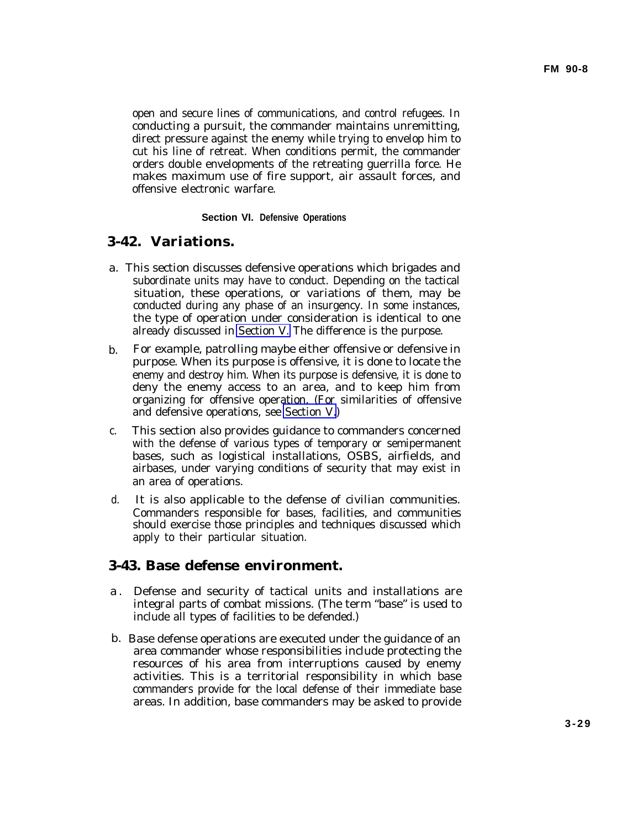open and secure lines of communications, and control refugees. In conducting a pursuit, the commander maintains unremitting, direct pressure against the enemy while trying to envelop him to cut his line of retreat. When conditions permit, the commander orders double envelopments of the retreating guerrilla force. He makes maximum use of fire support, air assault forces, and offensive electronic warfare.

#### **Section VI. Defensive Operations**

#### **3-42. Variations.**

- a. This section discusses defensive operations which brigades and subordinate units may have to conduct. Depending on the tactical situation, these operations, or variations of them, may be conducted during any phase of an insurgency. In some instances, the type of operation under consideration is identical to one already discussed in [Section V.](#page-15-0) The difference is the purpose.
- b. For example, patrolling maybe either offensive or defensive in purpose. When its purpose is offensive, it is done to locate the enemy and destroy him. When its purpose is defensive, it is done to deny the enemy access to an area, and to keep him from organizing for offensive operation. (For similarities of offensive and defensive operations, see [Section V.\)](#page-15-0)
- c. This section also provides guidance to commanders concerned with the defense of various types of temporary or semipermanent bases, such as logistical installations, OSBS, airfields, and airbases, under varying conditions of security that may exist in an area of operations.
- d. It is also applicable to the defense of civilian communities. Commanders responsible for bases, facilities, and communities should exercise those principles and techniques discussed which apply to their particular situation.

#### **3-43. Base defense environment.**

- a. Defense and security of tactical units and installations are integral parts of combat missions. (The term "base" is used to include all types of facilities to be defended.)
- b. Base defense operations are executed under the guidance of an area commander whose responsibilities include protecting the resources of his area from interruptions caused by enemy activities. This is a territorial responsibility in which base commanders provide for the local defense of their immediate base areas. In addition, base commanders may be asked to provide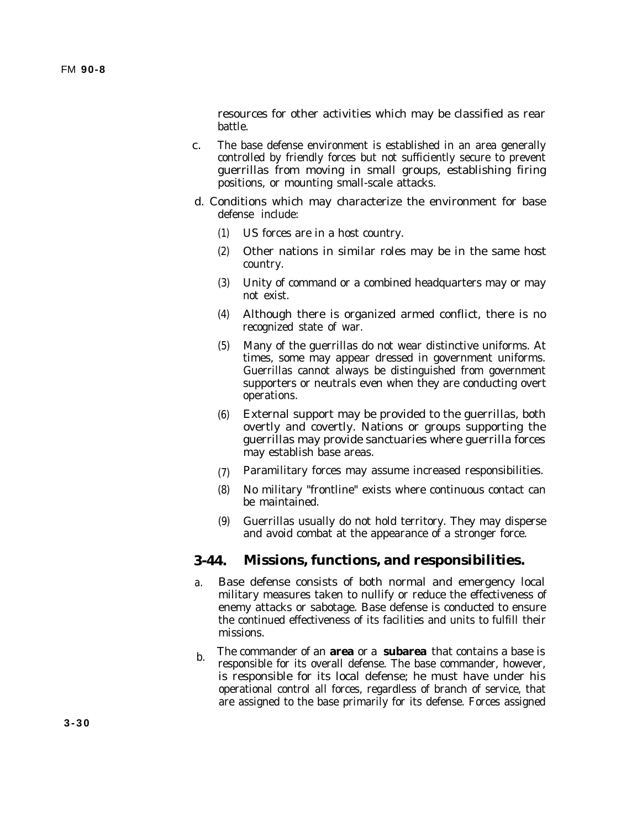resources for other activities which may be classified as rear battle.

- c. The base defense environment is established in an area generally controlled by friendly forces but not sufficiently secure to prevent guerrillas from moving in small groups, establishing firing positions, or mounting small-scale attacks.
- d. Conditions which may characterize the environment for base defense include:
	- (1) US forces are in a host country.
	- (2) Other nations in similar roles may be in the same host country.
	- (3) Unity of command or a combined headquarters may or may not exist.
	- (4) Although there is organized armed conflict, there is no recognized state of war.
	- (5) Many of the guerrillas do not wear distinctive uniforms. At times, some may appear dressed in government uniforms. Guerrillas cannot always be distinguished from government supporters or neutrals even when they are conducting overt operations.
	- (6) External support may be provided to the guerrillas, both overtly and covertly. Nations or groups supporting the guerrillas may provide sanctuaries where guerrilla forces may establish base areas.
	- (7) Paramilitary forces may assume increased responsibilities.
	- (8) No military "frontline" exists where continuous contact can be maintained.
	- (9) Guerrillas usually do not hold territory. They may disperse and avoid combat at the appearance of a stronger force.

#### **3-44. Missions, functions, and responsibilities.**

- a. Base defense consists of both normal and emergency local military measures taken to nullify or reduce the effectiveness of enemy attacks or sabotage. Base defense is conducted to ensure the continued effectiveness of its facilities and units to fulfill their missions.
- The commander of an **area** or a **subarea** that contains a base is responsible for its overall defense. The base commander, however, is responsible for its local defense; he must have under his operational control all forces, regardless of branch of service, that are assigned to the base primarily for its defense. Forces assigned b.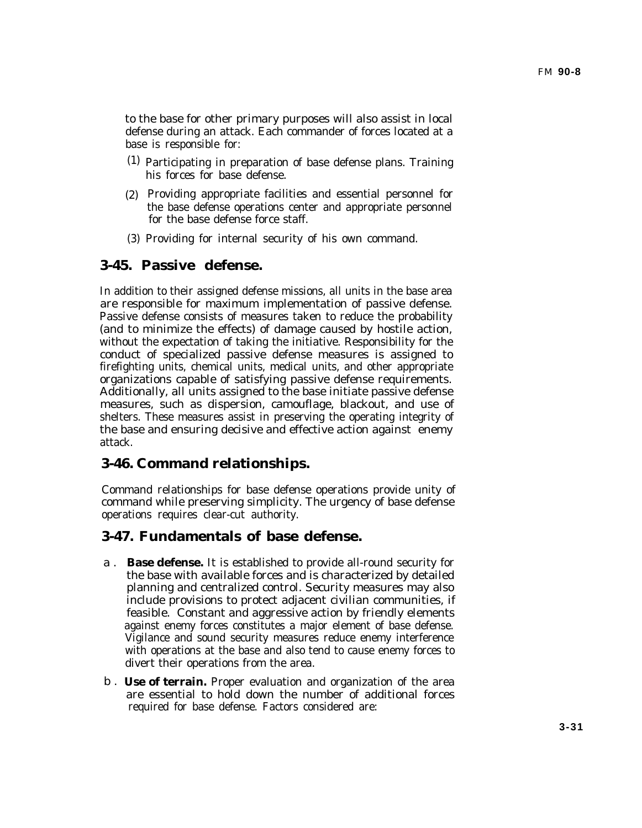to the base for other primary purposes will also assist in local defense during an attack. Each commander of forces located at a base is responsible for:

- (1) Participating in preparation of base defense plans. Training his forces for base defense.
- (2) Providing appropriate facilities and essential personnel for the base defense operations center and appropriate personnel for the base defense force staff.
- (3) Providing for internal security of his own command.

#### **3-45. Passive defense.**

In addition to their assigned defense missions, all units in the base area are responsible for maximum implementation of passive defense. Passive defense consists of measures taken to reduce the probability (and to minimize the effects) of damage caused by hostile action, without the expectation of taking the initiative. Responsibility for the conduct of specialized passive defense measures is assigned to firefighting units, chemical units, medical units, and other appropriate organizations capable of satisfying passive defense requirements. Additionally, all units assigned to the base initiate passive defense measures, such as dispersion, camouflage, blackout, and use of shelters. These measures assist in preserving the operating integrity of the base and ensuring decisive and effective action against enemy attack.

#### **3-46. Command relationships.**

Command relationships for base defense operations provide unity of command while preserving simplicity. The urgency of base defense operations requires clear-cut authority.

## **3-47. Fundamentals of base defense.**

- a . **Base defense.** It is established to provide all-round security for the base with available forces and is characterized by detailed planning and centralized control. Security measures may also include provisions to protect adjacent civilian communities, if feasible. Constant and aggressive action by friendly elements against enemy forces constitutes a major element of base defense. Vigilance and sound security measures reduce enemy interference with operations at the base and also tend to cause enemy forces to divert their operations from the area.
- b. Use of terrain. Proper evaluation and organization of the area are essential to hold down the number of additional forces required for base defense. Factors considered are: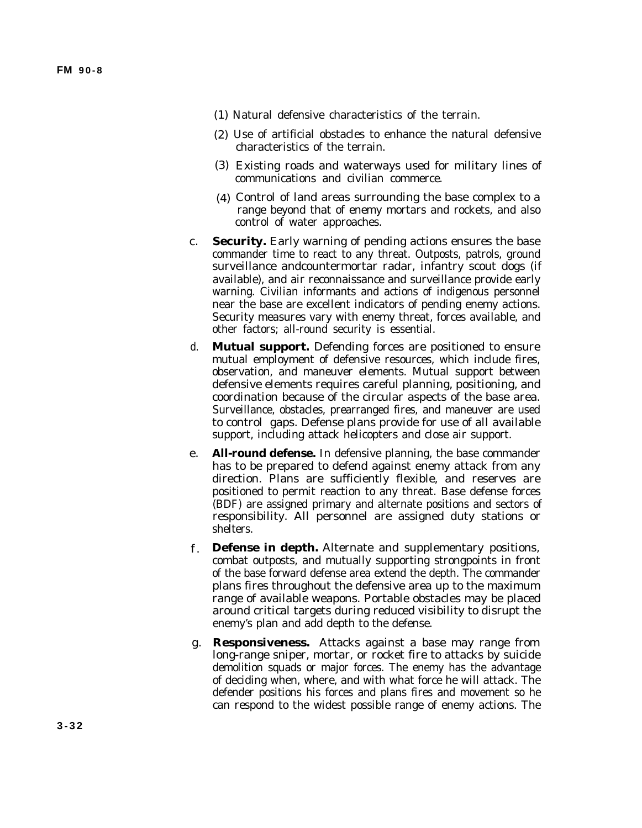- (1) Natural defensive characteristics of the terrain.
- Use of artificial obstacles to enhance the natural defensive (2) characteristics of the terrain.
- Existing roads and waterways used for military lines of (3) communications and civilian commerce.
- (4) Control of land areas surrounding the base complex to a range beyond that of enemy mortars and rockets, and also control of water approaches.
- c. **Security.** Early warning of pending actions ensures the base commander time to react to any threat. Outposts, patrols, ground surveillance andcountermortar radar, infantry scout dogs (if available), and air reconnaissance and surveillance provide early warning. Civilian informants and actions of indigenous personnel near the base are excellent indicators of pending enemy actions. Security measures vary with enemy threat, forces available, and other factors; all-round security is essential.
- d. **Mutual support.** Defending forces are positioned to ensure mutual employment of defensive resources, which include fires, observation, and maneuver elements. Mutual support between defensive elements requires careful planning, positioning, and coordination because of the circular aspects of the base area. Surveillance, obstacles, prearranged fires, and maneuver are used to control gaps. Defense plans provide for use of all available support, including attack helicopters and close air support.
- e. **All-round defense.** In defensive planning, the base commander has to be prepared to defend against enemy attack from any direction. Plans are sufficiently flexible, and reserves are positioned to permit reaction to any threat. Base defense forces (BDF) are assigned primary and alternate positions and sectors of responsibility. All personnel are assigned duty stations or shelters.
- f. **Defense in depth.** Alternate and supplementary positions, combat outposts, and mutually supporting strongpoints in front of the base forward defense area extend the depth. The commander plans fires throughout the defensive area up to the maximum range of available weapons. Portable obstacles may be placed around critical targets during reduced visibility to disrupt the enemy's plan and add depth to the defense.
- **Responsiveness.** Attacks against a base may range from long-range sniper, mortar, or rocket fire to attacks by suicide demolition squads or major forces. The enemy has the advantage of deciding when, where, and with what force he will attack. The defender positions his forces and plans fires and movement so he can respond to the widest possible range of enemy actions. The g.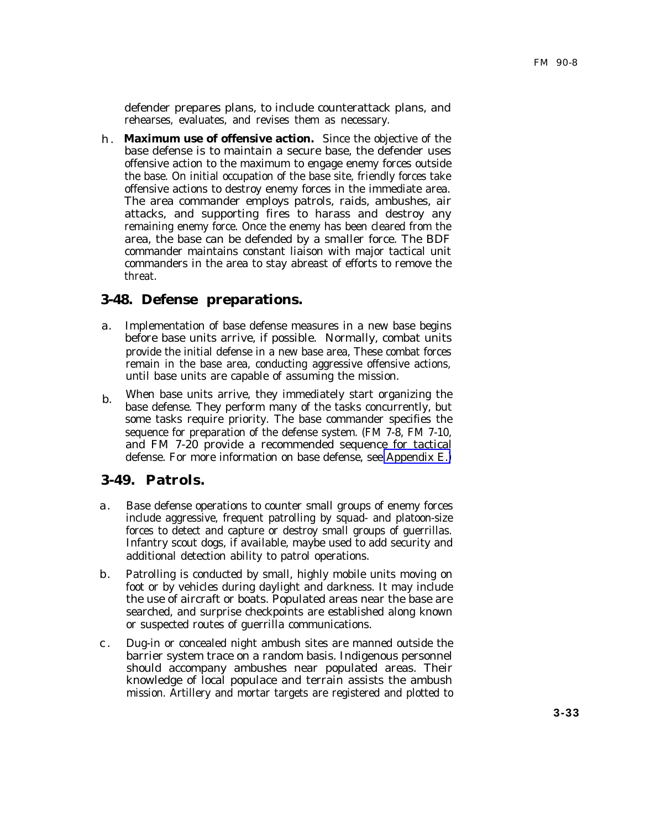defender prepares plans, to include counterattack plans, and rehearses, evaluates, and revises them as necessary.

h . **Maximum use of offensive action.** Since the objective of the base defense is to maintain a secure base, the defender uses offensive action to the maximum to engage enemy forces outside the base. On initial occupation of the base site, friendly forces take offensive actions to destroy enemy forces in the immediate area. The area commander employs patrols, raids, ambushes, air attacks, and supporting fires to harass and destroy any remaining enemy force. Once the enemy has been cleared from the area, the base can be defended by a smaller force. The BDF commander maintains constant liaison with major tactical unit commanders in the area to stay abreast of efforts to remove the threat.

## **3-48. Defense preparations.**

- a. Implementation of base defense measures in a new base begins before base units arrive, if possible. Normally, combat units provide the initial defense in a new base area, These combat forces remain in the base area, conducting aggressive offensive actions, until base units are capable of assuming the mission.
- When base units arrive, they immediately start organizing the base defense. They perform many of the tasks concurrently, but some tasks require priority. The base commander specifies the sequence for preparation of the defense system. (FM 7-8, FM 7-10, and FM 7-20 provide a recommended sequence for tactical defense. For more information on base defense, see [Appendix E.\)](#page-0-0) b.

# **3-49. Patrols.**

- a. Base defense operations to counter small groups of enemy forces include aggressive, frequent patrolling by squad- and platoon-size forces to detect and capture or destroy small groups of guerrillas. Infantry scout dogs, if available, maybe used to add security and additional detection ability to patrol operations.
- b. Patrolling is conducted by small, highly mobile units moving on foot or by vehicles during daylight and darkness. It may include the use of aircraft or boats. Populated areas near the base are searched, and surprise checkpoints are established along known or suspected routes of guerrilla communications.
- c . Dug-in or concealed night ambush sites are manned outside the barrier system trace on a random basis. Indigenous personnel should accompany ambushes near populated areas. Their knowledge of local populace and terrain assists the ambush mission. Artillery and mortar targets are registered and plotted to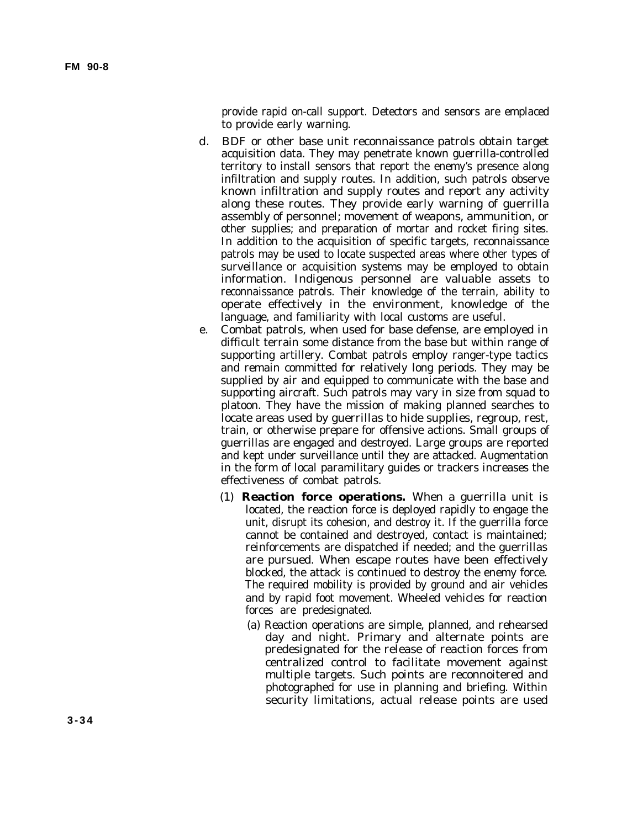provide rapid on-call support. Detectors and sensors are emplaced to provide early warning.

- d. BDF or other base unit reconnaissance patrols obtain target acquisition data. They may penetrate known guerrilla-controlled territory to install sensors that report the enemy's presence along infiltration and supply routes. In addition, such patrols observe known infiltration and supply routes and report any activity along these routes. They provide early warning of guerrilla assembly of personnel; movement of weapons, ammunition, or other supplies; and preparation of mortar and rocket firing sites. In addition to the acquisition of specific targets, reconnaissance patrols may be used to locate suspected areas where other types of surveillance or acquisition systems may be employed to obtain information. Indigenous personnel are valuable assets to reconnaissance patrols. Their knowledge of the terrain, ability to operate effectively in the environment, knowledge of the language, and familiarity with local customs are useful.
- e. Combat patrols, when used for base defense, are employed in difficult terrain some distance from the base but within range of supporting artillery. Combat patrols employ ranger-type tactics and remain committed for relatively long periods. They may be supplied by air and equipped to communicate with the base and supporting aircraft. Such patrols may vary in size from squad to platoon. They have the mission of making planned searches to locate areas used by guerrillas to hide supplies, regroup, rest, train, or otherwise prepare for offensive actions. Small groups of guerrillas are engaged and destroyed. Large groups are reported and kept under surveillance until they are attacked. Augmentation in the form of local paramilitary guides or trackers increases the effectiveness of combat patrols.
	- (1) **Reaction force operations.** When a guerrilla unit is located, the reaction force is deployed rapidly to engage the unit, disrupt its cohesion, and destroy it. If the guerrilla force cannot be contained and destroyed, contact is maintained; reinforcements are dispatched if needed; and the guerrillas are pursued. When escape routes have been effectively blocked, the attack is continued to destroy the enemy force. The required mobility is provided by ground and air vehicles and by rapid foot movement. Wheeled vehicles for reaction forces are predesignated.
		- (a) Reaction operations are simple, planned, and rehearsed day and night. Primary and alternate points are predesignated for the release of reaction forces from centralized control to facilitate movement against multiple targets. Such points are reconnoitered and photographed for use in planning and briefing. Within security limitations, actual release points are used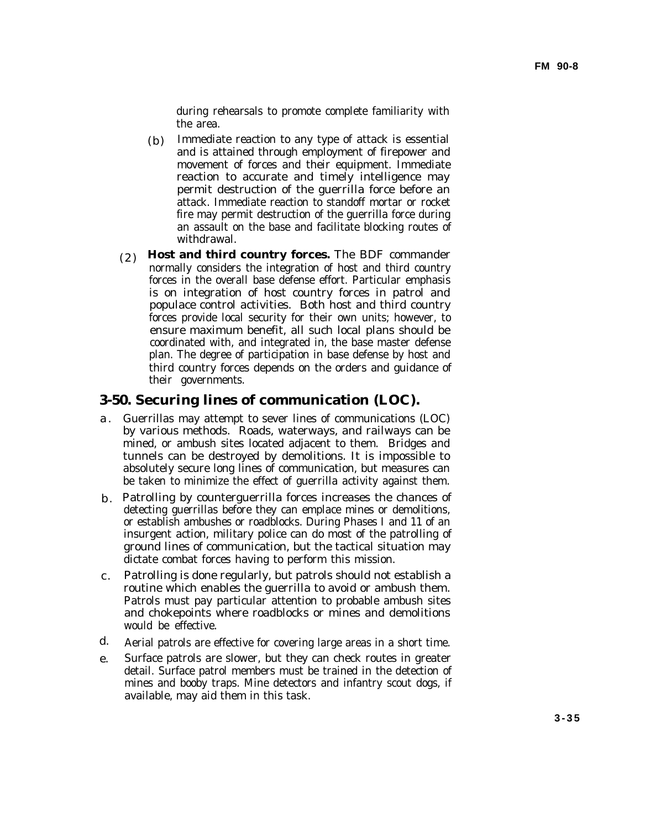during rehearsals to promote complete familiarity with the area.

- (b) Immediate reaction to any type of attack is essential and is attained through employment of firepower and movement of forces and their equipment. Immediate reaction to accurate and timely intelligence may permit destruction of the guerrilla force before an attack. Immediate reaction to standoff mortar or rocket fire may permit destruction of the guerrilla force during an assault on the base and facilitate blocking routes of withdrawal.
- (2) **Host and third country forces.** The BDF commander normally considers the integration of host and third country forces in the overall base defense effort. Particular emphasis is on integration of host country forces in patrol and populace control activities. Both host and third country forces provide local security for their own units; however, to ensure maximum benefit, all such local plans should be coordinated with, and integrated in, the base master defense plan. The degree of participation in base defense by host and third country forces depends on the orders and guidance of their governments.

### **3-50. Securing lines of communication (LOC).**

- a. Guerrillas may attempt to sever lines of communications (LOC) by various methods. Roads, waterways, and railways can be mined, or ambush sites located adjacent to them. Bridges and tunnels can be destroyed by demolitions. It is impossible to absolutely secure long lines of communication, but measures can be taken to minimize the effect of guerrilla activity against them.
- b. Patrolling by counterguerrilla forces increases the chances of detecting guerrillas before they can emplace mines or demolitions, or establish ambushes or roadblocks. During Phases I and 11 of an insurgent action, military police can do most of the patrolling of ground lines of communication, but the tactical situation may dictate combat forces having to perform this mission.
- c. Patrolling is done regularly, but patrols should not establish a routine which enables the guerrilla to avoid or ambush them. Patrols must pay particular attention to probable ambush sites and chokepoints where roadblocks or mines and demolitions would be effective.
- d. Aerial patrols are effective for covering large areas in a short time.
- e. Surface patrols are slower, but they can check routes in greater detail. Surface patrol members must be trained in the detection of mines and booby traps. Mine detectors and infantry scout dogs, if available, may aid them in this task.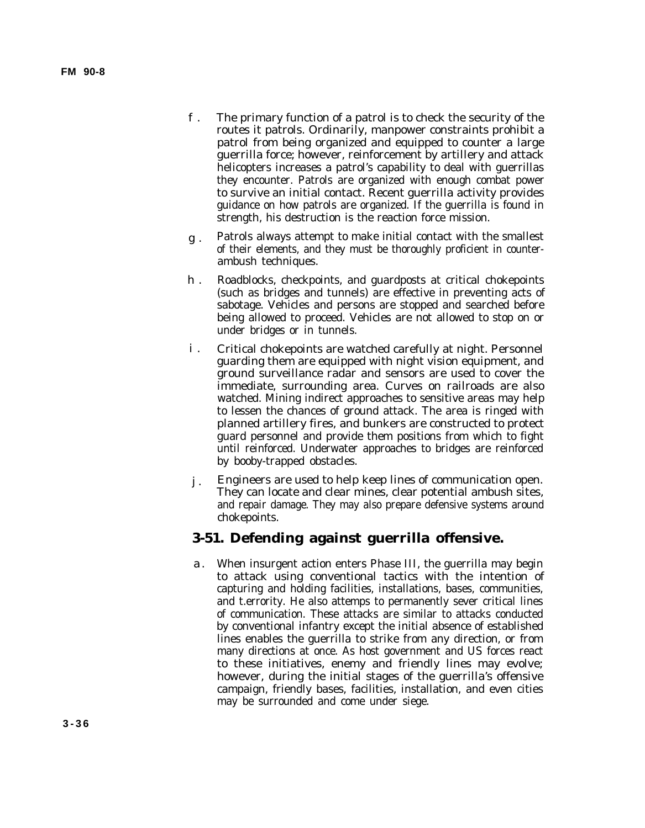- $f$ . The primary function of a patrol is to check the security of the routes it patrols. Ordinarily, manpower constraints prohibit a patrol from being organized and equipped to counter a large guerrilla force; however, reinforcement by artillery and attack helicopters increases a patrol's capability to deal with guerrillas they encounter. Patrols are organized with enough combat power to survive an initial contact. Recent guerrilla activity provides guidance on how patrols are organized. If the guerrilla is found in strength, his destruction is the reaction force mission.
- g . Patrols always attempt to make initial contact with the smallest of their elements, and they must be thoroughly proficient in counterambush techniques.
- h . Roadblocks, checkpoints, and guardposts at critical chokepoints (such as bridges and tunnels) are effective in preventing acts of sabotage. Vehicles and persons are stopped and searched before being allowed to proceed. Vehicles are not allowed to stop on or under bridges or in tunnels.
- i . Critical chokepoints are watched carefully at night. Personnel guarding them are equipped with night vision equipment, and ground surveillance radar and sensors are used to cover the immediate, surrounding area. Curves on railroads are also watched. Mining indirect approaches to sensitive areas may help to lessen the chances of ground attack. The area is ringed with planned artillery fires, and bunkers are constructed to protect guard personnel and provide them positions from which to fight until reinforced. Underwater approaches to bridges are reinforced by booby-trapped obstacles.
- j . Engineers are used to help keep lines of communication open. They can locate and clear mines, clear potential ambush sites, and repair damage. They may also prepare defensive systems around chokepoints.

## **3-51. Defending against guerrilla offensive.**

a. When insurgent action enters Phase III, the guerrilla may begin to attack using conventional tactics with the intention of capturing and holding facilities, installations, bases, communities, and t.errority. He also attemps to permanently sever critical lines of communication. These attacks are similar to attacks conducted by conventional infantry except the initial absence of established lines enables the guerrilla to strike from any direction, or from many directions at once. As host government and US forces react to these initiatives, enemy and friendly lines may evolve; however, during the initial stages of the guerrilla's offensive campaign, friendly bases, facilities, installation, and even cities may be surrounded and come under siege.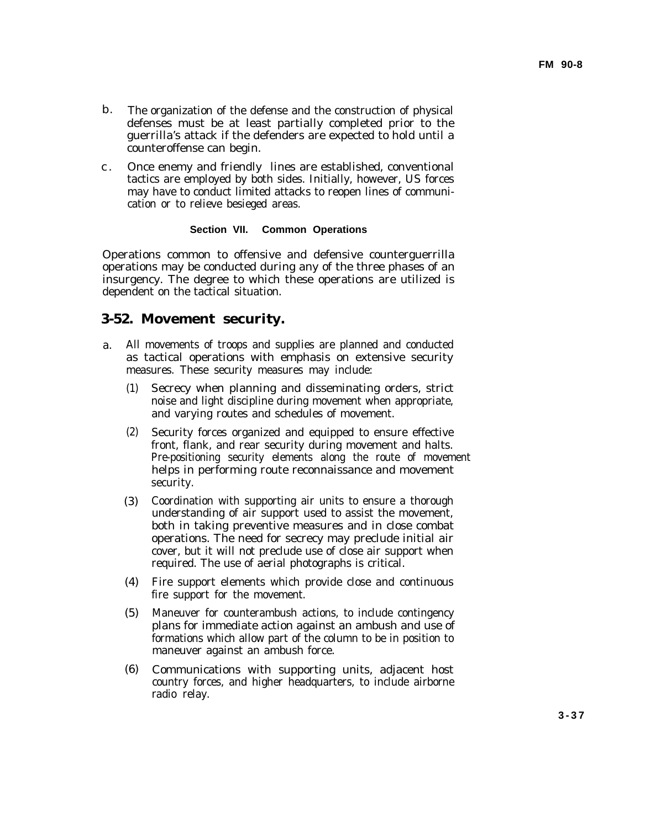- The organization of the defense and the construction of physical defenses must be at least partially completed prior to the guerrilla's attack if the defenders are expected to hold until a counteroffense can begin. b.
- c . Once enemy and friendly lines are established, conventional tactics are employed by both sides. Initially, however, US forces may have to conduct limited attacks to reopen lines of communication or to relieve besieged areas.

#### **Section VII. Common Operations**

Operations common to offensive and defensive counterguerrilla operations may be conducted during any of the three phases of an insurgency. The degree to which these operations are utilized is dependent on the tactical situation.

#### **3-52. Movement security.**

- a. All movements of troops and supplies are planned and conducted as tactical operations with emphasis on extensive security measures. These security measures may include:
	- (1) Secrecy when planning and disseminating orders, strict noise and light discipline during movement when appropriate, and varying routes and schedules of movement.
	- (2) Security forces organized and equipped to ensure effective front, flank, and rear security during movement and halts. Pre-positioning security elements along the route of movement helps in performing route reconnaissance and movement security.
	- (3) Coordination with supporting air units to ensure a thorough understanding of air support used to assist the movement, both in taking preventive measures and in close combat operations. The need for secrecy may preclude initial air cover, but it will not preclude use of close air support when required. The use of aerial photographs is critical.
	- (4) Fire support elements which provide close and continuous fire support for the movement.
	- (5) Maneuver for counterambush actions, to include contingency plans for immediate action against an ambush and use of formations which allow part of the column to be in position to maneuver against an ambush force.
	- (6) Communications with supporting units, adjacent host country forces, and higher headquarters, to include airborne radio relay.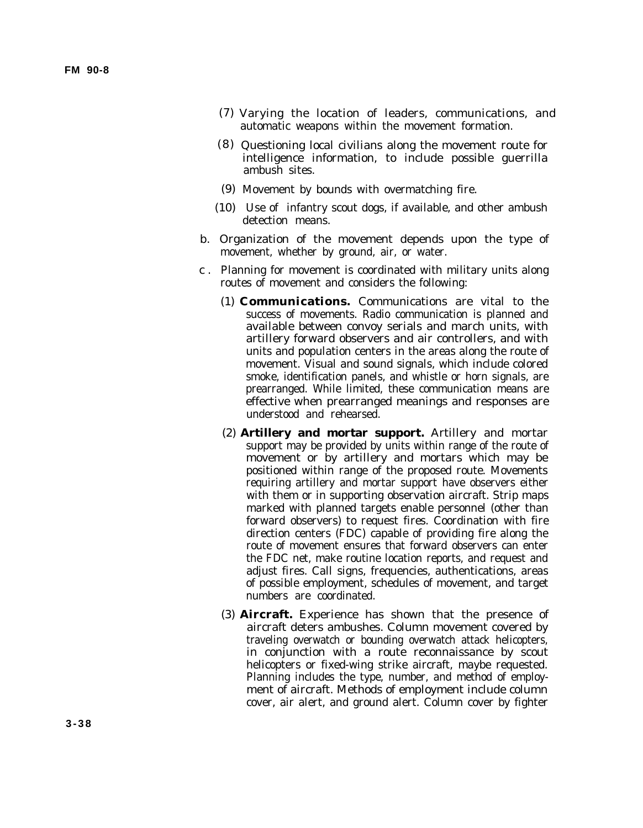- (7) Varying the location of leaders, communications, and automatic weapons within the movement formation.
- (8) Questioning local civilians along the movement route for intelligence information, to include possible guerrilla ambush sites.
- (9) Movement by bounds with overmatching fire.
- (10) Use of infantry scout dogs, if available, and other ambush detection means.
- b. Organization of the movement depends upon the type of movement, whether by ground, air, or water.
- c . Planning for movement is coordinated with military units along routes of movement and considers the following:
	- (1) **Communications.** Communications are vital to the success of movements. Radio communication is planned and available between convoy serials and march units, with artillery forward observers and air controllers, and with units and population centers in the areas along the route of movement. Visual and sound signals, which include colored smoke, identification panels, and whistle or horn signals, are prearranged. While limited, these communication means are effective when prearranged meanings and responses are understood and rehearsed.
	- (2) **Artillery and mortar support.** Artillery and mortar support may be provided by units within range of the route of movement or by artillery and mortars which may be positioned within range of the proposed route. Movements requiring artillery and mortar support have observers either with them or in supporting observation aircraft. Strip maps marked with planned targets enable personnel (other than forward observers) to request fires. Coordination with fire direction centers (FDC) capable of providing fire along the route of movement ensures that forward observers can enter the FDC net, make routine location reports, and request and adjust fires. Call signs, frequencies, authentications, areas of possible employment, schedules of movement, and target numbers are coordinated.
	- (3) **Aircraft.** Experience has shown that the presence of aircraft deters ambushes. Column movement covered by traveling overwatch or bounding overwatch attack helicopters, in conjunction with a route reconnaissance by scout helicopters or fixed-wing strike aircraft, maybe requested. Planning includes the type, number, and method of employment of aircraft. Methods of employment include column cover, air alert, and ground alert. Column cover by fighter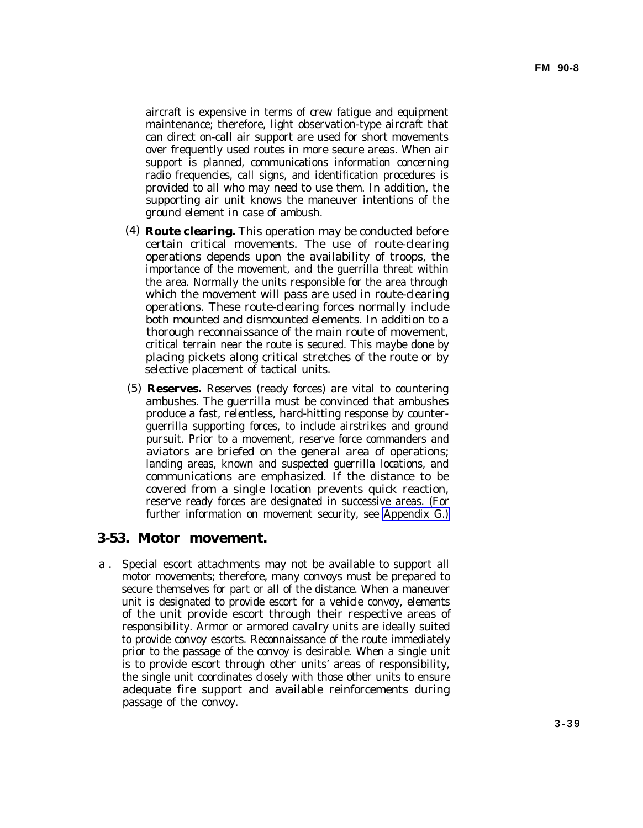aircraft is expensive in terms of crew fatigue and equipment maintenance; therefore, light observation-type aircraft that can direct on-call air support are used for short movements over frequently used routes in more secure areas. When air support is planned, communications information concerning radio frequencies, call signs, and identification procedures is provided to all who may need to use them. In addition, the supporting air unit knows the maneuver intentions of the ground element in case of ambush.

- (4) **Route clearing.** This operation may be conducted before certain critical movements. The use of route-clearing operations depends upon the availability of troops, the importance of the movement, and the guerrilla threat within the area. Normally the units responsible for the area through which the movement will pass are used in route-clearing operations. These route-clearing forces normally include both mounted and dismounted elements. In addition to a thorough reconnaissance of the main route of movement, critical terrain near the route is secured. This maybe done by placing pickets along critical stretches of the route or by selective placement of tactical units.
- (5) **Reserves.** Reserves (ready forces) are vital to countering ambushes. The guerrilla must be convinced that ambushes produce a fast, relentless, hard-hitting response by counterguerrilla supporting forces, to include airstrikes and ground pursuit. Prior to a movement, reserve force commanders and aviators are briefed on the general area of operations; landing areas, known and suspected guerrilla locations, and communications are emphasized. If the distance to be covered from a single location prevents quick reaction, reserve ready forces are designated in successive areas. (For further information on movement security, see [Appendix G.\)](#page-0-0)

#### **3-53. Motor movement.**

a . Special escort attachments may not be available to support all motor movements; therefore, many convoys must be prepared to secure themselves for part or all of the distance. When a maneuver unit is designated to provide escort for a vehicle convoy, elements of the unit provide escort through their respective areas of responsibility. Armor or armored cavalry units are ideally suited to provide convoy escorts. Reconnaissance of the route immediately prior to the passage of the convoy is desirable. When a single unit is to provide escort through other units' areas of responsibility, the single unit coordinates closely with those other units to ensure adequate fire support and available reinforcements during passage of the convoy.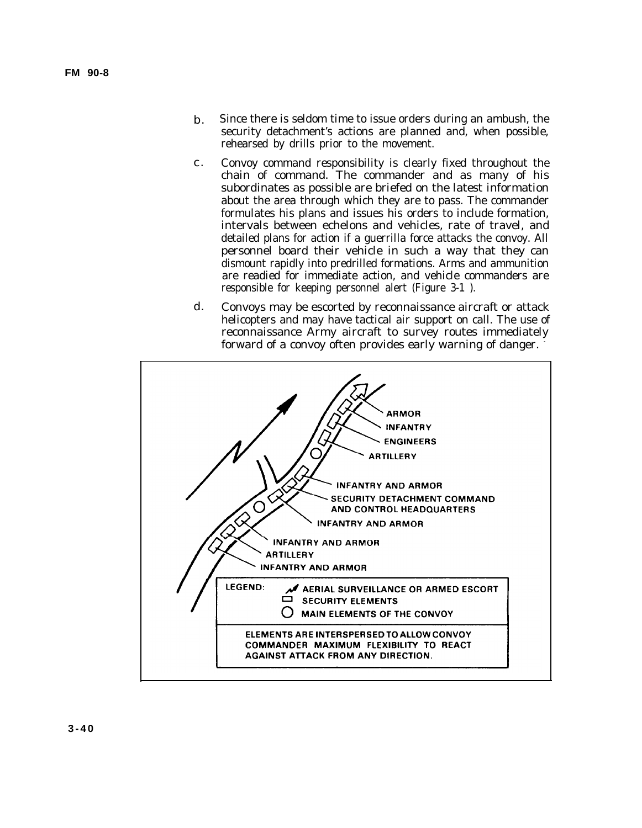- Since there is seldom time to issue orders during an ambush, the security detachment's actions are planned and, when possible, rehearsed by drills prior to the movement. b.
- c . Convoy command responsibility is clearly fixed throughout the chain of command. The commander and as many of his subordinates as possible are briefed on the latest information about the area through which they are to pass. The commander formulates his plans and issues his orders to include formation, intervals between echelons and vehicles, rate of travel, and detailed plans for action if a guerrilla force attacks the convoy. All personnel board their vehicle in such a way that they can dismount rapidly into predrilled formations. Arms and ammunition are readied for immediate action, and vehicle commanders are responsible for keeping personnel alert (Figure 3-1 ).
- d. Convoys may be escorted by reconnaissance aircraft or attack helicopters and may have tactical air support on call. The use of reconnaissance Army aircraft to survey routes immediately forward of a convoy often provides early warning of danger. -

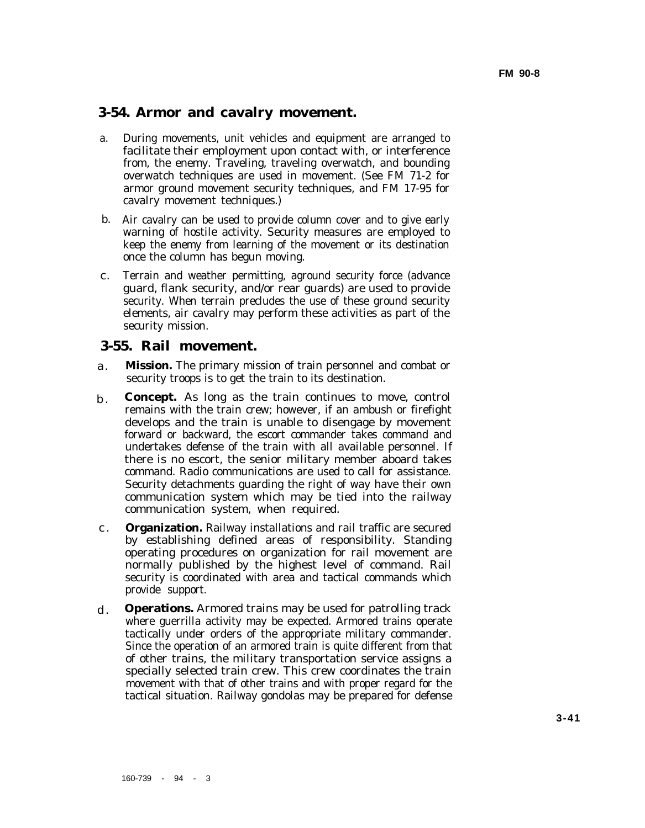### **3-54. Armor and cavalry movement.**

- a. During movements, unit vehicles and equipment are arranged to facilitate their employment upon contact with, or interference from, the enemy. Traveling, traveling overwatch, and bounding overwatch techniques are used in movement. (See FM 71-2 for armor ground movement security techniques, and FM 17-95 for cavalry movement techniques.)
- Air cavalry can be used to provide column cover and to give early b. warning of hostile activity. Security measures are employed to keep the enemy from learning of the movement or its destination once the column has begun moving.
- c. Terrain and weather permitting, aground security force (advance guard, flank security, and/or rear guards) are used to provide security. When terrain precludes the use of these ground security elements, air cavalry may perform these activities as part of the security mission.

#### **3-55. Rail movement.**

- a. **Mission.** The primary mission of train personnel and combat or security troops is to get the train to its destination.
- b . **Concept.** As long as the train continues to move, control remains with the train crew; however, if an ambush or firefight develops and the train is unable to disengage by movement forward or backward, the escort commander takes command and undertakes defense of the train with all available personnel. If there is no escort, the senior military member aboard takes command. Radio communications are used to call for assistance. Security detachments guarding the right of way have their own communication system which may be tied into the railway communication system, when required.
- c . **Organization.** Railway installations and rail traffic are secured by establishing defined areas of responsibility. Standing operating procedures on organization for rail movement are normally published by the highest level of command. Rail security is coordinated with area and tactical commands which provide support.
- d . **Operations.** Armored trains may be used for patrolling track where guerrilla activity may be expected. Armored trains operate tactically under orders of the appropriate military commander. Since the operation of an armored train is quite different from that of other trains, the military transportation service assigns a specially selected train crew. This crew coordinates the train movement with that of other trains and with proper regard for the tactical situation. Railway gondolas may be prepared for defense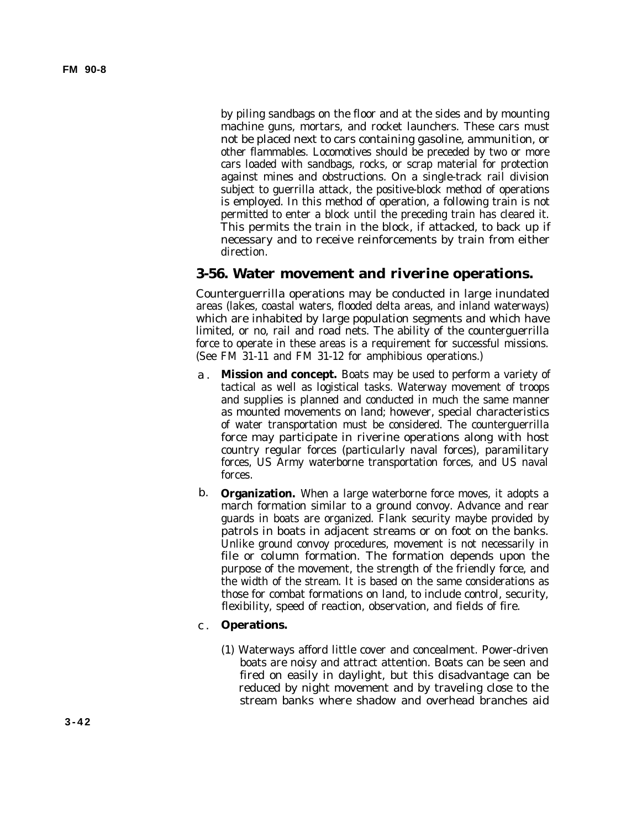by piling sandbags on the floor and at the sides and by mounting machine guns, mortars, and rocket launchers. These cars must not be placed next to cars containing gasoline, ammunition, or other flammables. Locomotives should be preceded by two or more cars loaded with sandbags, rocks, or scrap material for protection against mines and obstructions. On a single-track rail division subject to guerrilla attack, the positive-block method of operations is employed. In this method of operation, a following train is not permitted to enter a block until the preceding train has cleared it. This permits the train in the block, if attacked, to back up if necessary and to receive reinforcements by train from either direction.

## **3-56. Water movement and riverine operations.**

Counterguerrilla operations may be conducted in large inundated areas (lakes, coastal waters, flooded delta areas, and inland waterways) which are inhabited by large population segments and which have limited, or no, rail and road nets. The ability of the counterguerrilla force to operate in these areas is a requirement for successful missions. (See FM 31-11 and FM 31-12 for amphibious operations.)

- a . **Mission and concept.** Boats may be used to perform a variety of tactical as well as logistical tasks. Waterway movement of troops and supplies is planned and conducted in much the same manner as mounted movements on land; however, special characteristics of water transportation must be considered. The counterguerrilla force may participate in riverine operations along with host country regular forces (particularly naval forces), paramilitary forces, US Army waterborne transportation forces, and US naval forces.
- b. **Organization.** When a large waterborne force moves, it adopts a march formation similar to a ground convoy. Advance and rear guards in boats are organized. Flank security maybe provided by patrols in boats in adjacent streams or on foot on the banks. Unlike ground convoy procedures, movement is not necessarily in file or column formation. The formation depends upon the purpose of the movement, the strength of the friendly force, and the width of the stream. It is based on the same considerations as those for combat formations on land, to include control, security, flexibility, speed of reaction, observation, and fields of fire.

#### c . **Operations.**

(1) Waterways afford little cover and concealment. Power-driven boats are noisy and attract attention. Boats can be seen and fired on easily in daylight, but this disadvantage can be reduced by night movement and by traveling close to the stream banks where shadow and overhead branches aid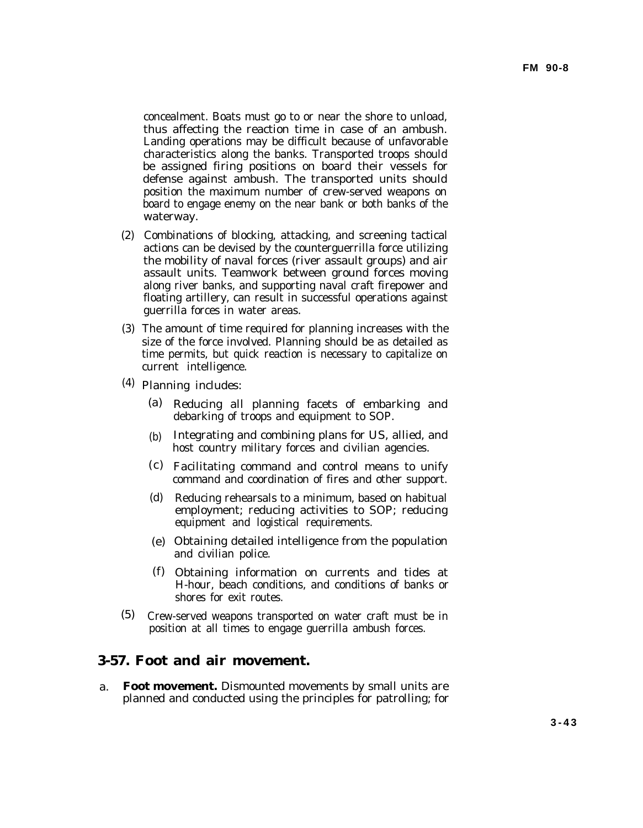concealment. Boats must go to or near the shore to unload, thus affecting the reaction time in case of an ambush. Landing operations may be difficult because of unfavorable characteristics along the banks. Transported troops should be assigned firing positions on board their vessels for defense against ambush. The transported units should position the maximum number of crew-served weapons on board to engage enemy on the near bank or both banks of the waterway.

- (2) Combinations of blocking, attacking, and screening tactical actions can be devised by the counterguerrilla force utilizing the mobility of naval forces (river assault groups) and air assault units. Teamwork between ground forces moving along river banks, and supporting naval craft firepower and floating artillery, can result in successful operations against guerrilla forces in water areas.
- (3) The amount of time required for planning increases with the size of the force involved. Planning should be as detailed as time permits, but quick reaction is necessary to capitalize on current intelligence.
- $(4)$  Planning includes:
	- (a) Reducing all planning facets of embarking and debarking of troops and equipment to SOP.
	- (b) Integrating and combining plans for US, allied, and host country military forces and civilian agencies.
	- (c) Facilitating command and control means to unify command and coordination of fires and other support.
	- (d) Reducing rehearsals to a minimum, based on habitual employment; reducing activities to SOP; reducing equipment and logistical requirements.
	- Obtaining detailed intelligence from the population (e) and civilian police.
	- (f) Obtaining information on currents and tides at H-hour, beach conditions, and conditions of banks or shores for exit routes.
- (5) Crew-served weapons transported on water craft must be in position at all times to engage guerrilla ambush forces.

#### **3-57. Foot and air movement.**

a. **Foot movement.** Dismounted movements by small units are planned and conducted using the principles for patrolling; for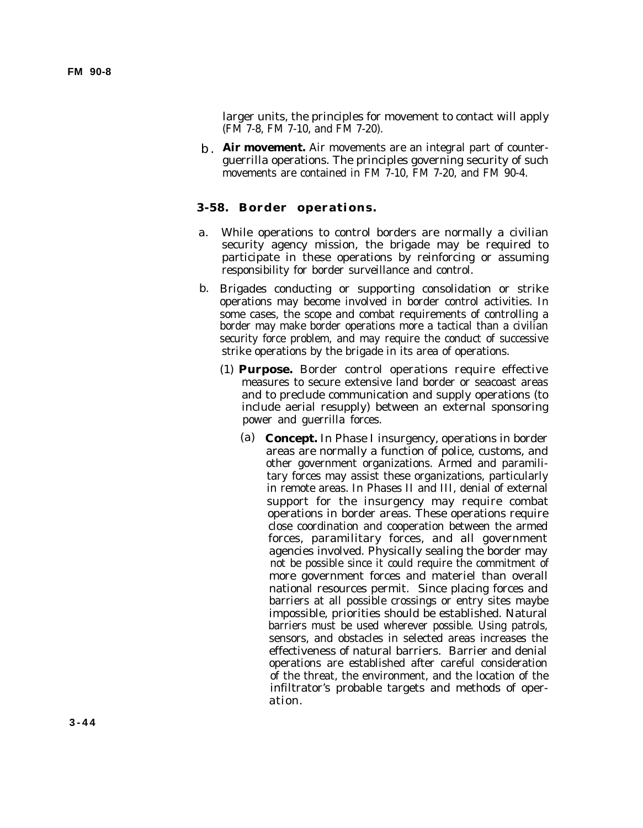larger units, the principles for movement to contact will apply (FM 7-8, FM 7-10, and FM 7-20).

b . **Air movement.** Air movements are an integral part of counterguerrilla operations. The principles governing security of such movements are contained in FM 7-10, FM 7-20, and FM 90-4.

#### **3-58. Border operations.**

- a. While operations to control borders are normally a civilian security agency mission, the brigade may be required to participate in these operations by reinforcing or assuming responsibility for border surveillance and control.
- b. Brigades conducting or supporting consolidation or strike operations may become involved in border control activities. In some cases, the scope and combat requirements of controlling a border may make border operations more a tactical than a civilian security force problem, and may require the conduct of successive strike operations by the brigade in its area of operations.
	- (1) **Purpose.** Border control operations require effective measures to secure extensive land border or seacoast areas and to preclude communication and supply operations (to include aerial resupply) between an external sponsoring power and guerrilla forces.
		- (a) **Concept.** In Phase I insurgency, operations in border areas are normally a function of police, customs, and other government organizations. Armed and paramilitary forces may assist these organizations, particularly in remote areas. In Phases II and III, denial of external support for the insurgency may require combat operations in border areas. These operations require close coordination and cooperation between the armed forces, paramilitary forces, and all government agencies involved. Physically sealing the border may not be possible since it could require the commitment of more government forces and materiel than overall national resources permit. Since placing forces and barriers at all possible crossings or entry sites maybe impossible, priorities should be established. Natural barriers must be used wherever possible. Using patrols, sensors, and obstacles in selected areas increases the effectiveness of natural barriers. Barrier and denial operations are established after careful consideration of the threat, the environment, and the location of the infiltrator's probable targets and methods of operation.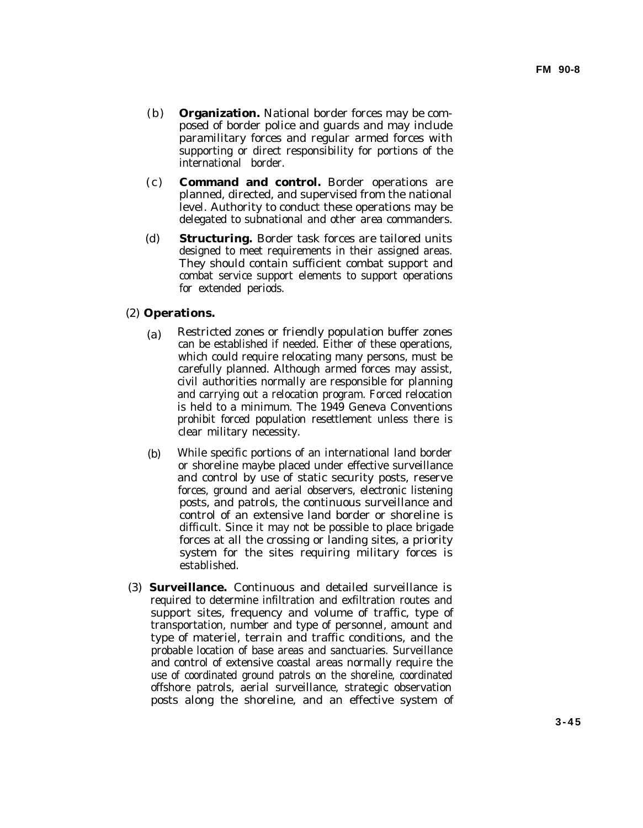- (b) **Organization.** National border forces may be composed of border police and guards and may include paramilitary forces and regular armed forces with supporting or direct responsibility for portions of the international border.
- $(c)$ **Command and control.** Border operations are planned, directed, and supervised from the national level. Authority to conduct these operations may be delegated to subnational and other area commanders.
- (d) **Structuring.** Border task forces are tailored units designed to meet requirements in their assigned areas. They should contain sufficient combat support and combat service support elements to support operations for extended periods.

#### (2) **Operations.**

- (a) Restricted zones or friendly population buffer zones can be established if needed. Either of these operations, which could require relocating many persons, must be carefully planned. Although armed forces may assist, civil authorities normally are responsible for planning and carrying out a relocation program. Forced relocation is held to a minimum. The 1949 Geneva Conventions prohibit forced population resettlement unless there is clear military necessity.
- (b) While specific portions of an international land border or shoreline maybe placed under effective surveillance and control by use of static security posts, reserve forces, ground and aerial observers, electronic listening posts, and patrols, the continuous surveillance and control of an extensive land border or shoreline is difficult. Since it may not be possible to place brigade forces at all the crossing or landing sites, a priority system for the sites requiring military forces is established.
- (3) **Surveillance.** Continuous and detailed surveillance is required to determine infiltration and exfiltration routes and support sites, frequency and volume of traffic, type of transportation, number and type of personnel, amount and type of materiel, terrain and traffic conditions, and the probable location of base areas and sanctuaries. Surveillance and control of extensive coastal areas normally require the use of coordinated ground patrols on the shoreline, coordinated offshore patrols, aerial surveillance, strategic observation posts along the shoreline, and an effective system of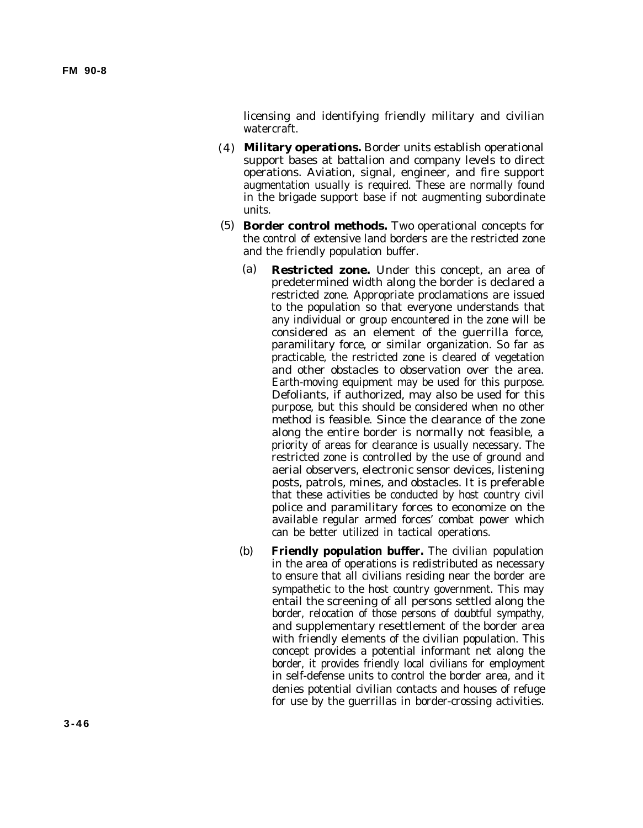licensing and identifying friendly military and civilian watercraft.

- (4 ) **Military operations.** Border units establish operational support bases at battalion and company levels to direct operations. Aviation, signal, engineer, and fire support augmentation usually is required. These are normally found in the brigade support base if not augmenting subordinate units.
- (5) **Border control methods.** Two operational concepts for the control of extensive land borders are the restricted zone and the friendly population buffer.
	- (a) **Restricted zone.** Under this concept, an area of predetermined width along the border is declared a restricted zone. Appropriate proclamations are issued to the population so that everyone understands that any individual or group encountered in the zone will be considered as an element of the guerrilla force, paramilitary force, or similar organization. So far as practicable, the restricted zone is cleared of vegetation and other obstacles to observation over the area. Earth-moving equipment may be used for this purpose. Defoliants, if authorized, may also be used for this purpose, but this should be considered when no other method is feasible. Since the clearance of the zone along the entire border is normally not feasible, a priority of areas for clearance is usually necessary. The restricted zone is controlled by the use of ground and aerial observers, electronic sensor devices, listening posts, patrols, mines, and obstacles. It is preferable that these activities be conducted by host country civil police and paramilitary forces to economize on the available regular armed forces' combat power which can be better utilized in tactical operations.
	- (b) **Friendly population buffer.** The civilian population in the area of operations is redistributed as necessary to ensure that all civilians residing near the border are sympathetic to the host country government. This may entail the screening of all persons settled along the border, relocation of those persons of doubtful sympathy, and supplementary resettlement of the border area with friendly elements of the civilian population. This concept provides a potential informant net along the border, it provides friendly local civilians for employment in self-defense units to control the border area, and it denies potential civilian contacts and houses of refuge for use by the guerrillas in border-crossing activities.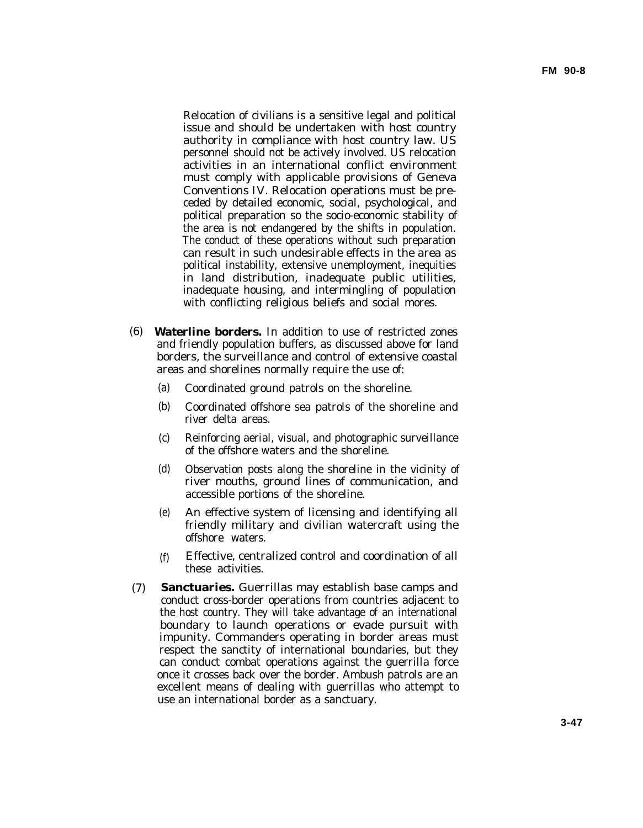Relocation of civilians is a sensitive legal and political issue and should be undertaken with host country authority in compliance with host country law. US personnel should not be actively involved. US relocation activities in an international conflict environment must comply with applicable provisions of Geneva Conventions IV. Relocation operations must be preceded by detailed economic, social, psychological, and political preparation so the socio-economic stability of the area is not endangered by the shifts in population. The conduct of these operations without such preparation can result in such undesirable effects in the area as political instability, extensive unemployment, inequities in land distribution, inadequate public utilities, inadequate housing, and intermingling of population with conflicting religious beliefs and social mores.

- (6) **Waterline borders.** In addition to use of restricted zones and friendly population buffers, as discussed above for land borders, the surveillance and control of extensive coastal areas and shorelines normally require the use of:
	- (a) Coordinated ground patrols on the shoreline.
	- (b) Coordinated offshore sea patrols of the shoreline and river delta areas.
	- (c) Reinforcing aerial, visual, and photographic surveillance of the offshore waters and the shoreline.
	- (d) Observation posts along the shoreline in the vicinity of river mouths, ground lines of communication, and accessible portions of the shoreline.
	- (e) An effective system of licensing and identifying all friendly military and civilian watercraft using the offshore waters.
	- (f) Effective, centralized control and coordination of all these activities.
- (7) **Sanctuaries.** Guerrillas may establish base camps and conduct cross-border operations from countries adjacent to the host country. They will take advantage of an international boundary to launch operations or evade pursuit with impunity. Commanders operating in border areas must respect the sanctity of international boundaries, but they can conduct combat operations against the guerrilla force once it crosses back over the border. Ambush patrols are an excellent means of dealing with guerrillas who attempt to use an international border as a sanctuary.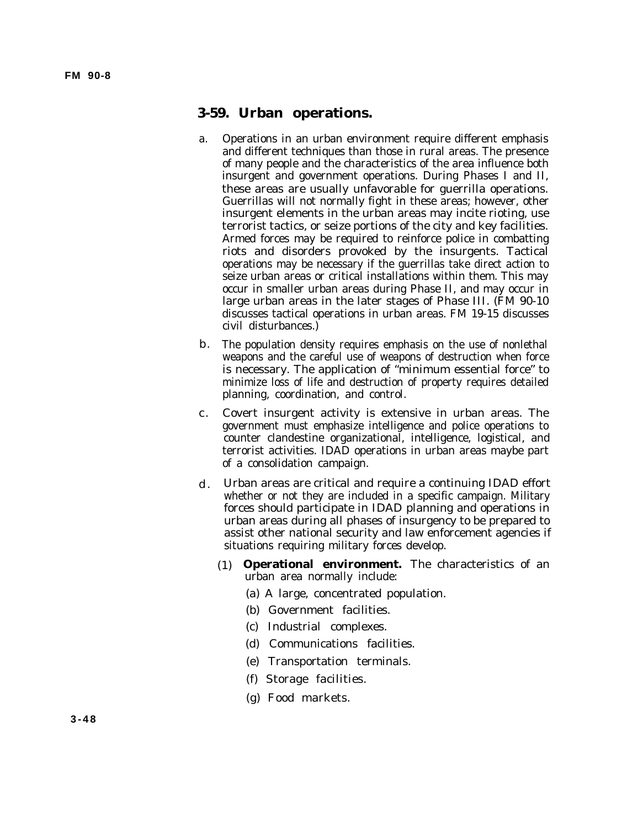#### **3-59. Urban operations.**

- a. Operations in an urban environment require different emphasis and different techniques than those in rural areas. The presence of many people and the characteristics of the area influence both insurgent and government operations. During Phases I and II, these areas are usually unfavorable for guerrilla operations. Guerrillas will not normally fight in these areas; however, other insurgent elements in the urban areas may incite rioting, use terrorist tactics, or seize portions of the city and key facilities. Armed forces may be required to reinforce police in combatting riots and disorders provoked by the insurgents. Tactical operations may be necessary if the guerrillas take direct action to seize urban areas or critical installations within them. This may occur in smaller urban areas during Phase II, and may occur in large urban areas in the later stages of Phase III. (FM 90-10 discusses tactical operations in urban areas. FM 19-15 discusses civil disturbances.)
- b. The population density requires emphasis on the use of nonlethal weapons and the careful use of weapons of destruction when force is necessary. The application of "minimum essential force" to minimize loss of life and destruction of property requires detailed planning, coordination, and control.
- c. Covert insurgent activity is extensive in urban areas. The government must emphasize intelligence and police operations to counter clandestine organizational, intelligence, logistical, and terrorist activities. IDAD operations in urban areas maybe part of a consolidation campaign.
- d. Urban areas are critical and require a continuing IDAD effort whether or not they are included in a specific campaign. Military forces should participate in IDAD planning and operations in urban areas during all phases of insurgency to be prepared to assist other national security and law enforcement agencies if situations requiring military forces develop.
	- (1) **Operational environment.** The characteristics of an urban area normally include:
		- (a) A large, concentrated population.
		- (b) Government facilities.
		- (c) Industrial complexes.
		- (d) Communications facilities.
		- (e) Transportation terminals.
		- (f) Storage facilities.
		- (g) Food markets.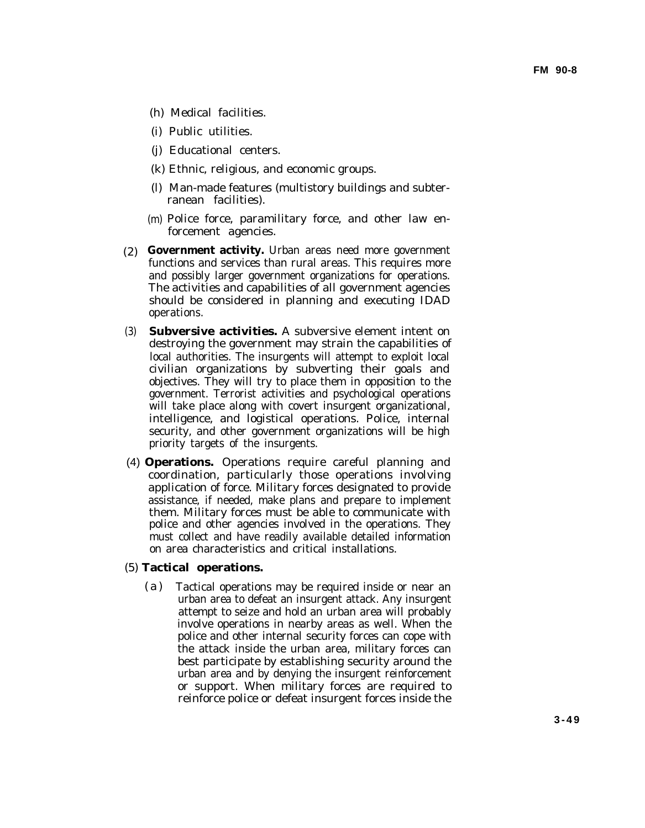- (h) Medical facilities.
- (i) Public utilities.
- (j) Educational centers.
- (k) Ethnic, religious, and economic groups.
- (l) Man-made features (multistory buildings and subterranean facilities).
- (m) Police force, paramilitary force, and other law enforcement agencies.
- (2) **Government activity.** Urban areas need more government functions and services than rural areas. This requires more and possibly larger government organizations for operations. The activities and capabilities of all government agencies should be considered in planning and executing IDAD operations.
- (3) **Subversive activities.** A subversive element intent on destroying the government may strain the capabilities of local authorities. The insurgents will attempt to exploit local civilian organizations by subverting their goals and objectives. They will try to place them in opposition to the government. Terrorist activities and psychological operations will take place along with covert insurgent organizational, intelligence, and logistical operations. Police, internal security, and other government organizations will be high priority targets of the insurgents.
- (4) **Operations.** Operations require careful planning and coordination, particularly those operations involving application of force. Military forces designated to provide assistance, if needed, make plans and prepare to implement them. Military forces must be able to communicate with police and other agencies involved in the operations. They must collect and have readily available detailed information on area characteristics and critical installations.
- (5) **Tactical operations.**
	- (a) Tactical operations may be required inside or near an urban area to defeat an insurgent attack. Any insurgent attempt to seize and hold an urban area will probably involve operations in nearby areas as well. When the police and other internal security forces can cope with the attack inside the urban area, military forces can best participate by establishing security around the urban area and by denying the insurgent reinforcement or support. When military forces are required to reinforce police or defeat insurgent forces inside the